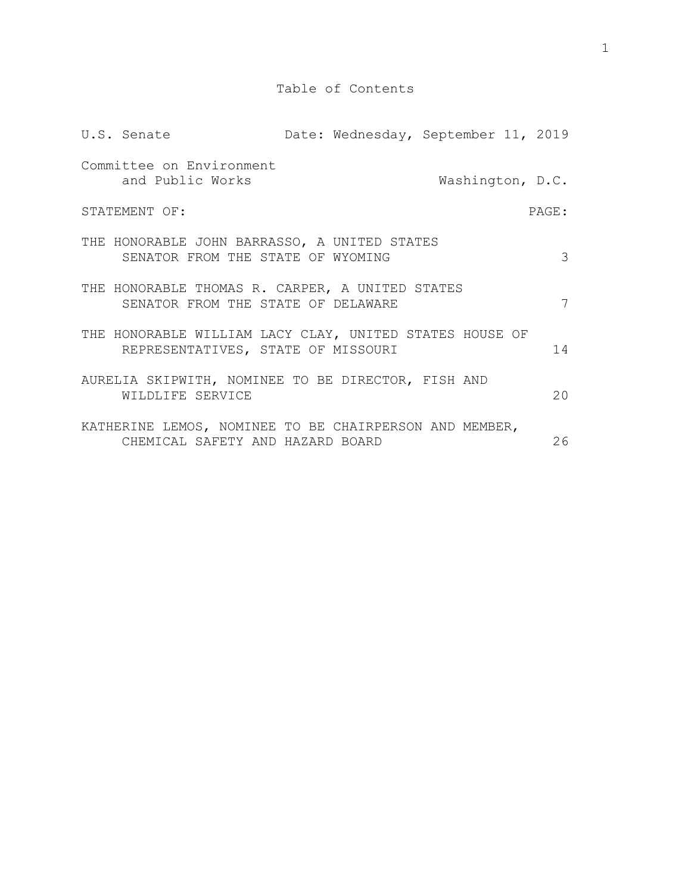|                        | U.S. Senate                                                                                   |  | Date: Wednesday, September 11, 2019 |                  |  |    |
|------------------------|-----------------------------------------------------------------------------------------------|--|-------------------------------------|------------------|--|----|
|                        | Committee on Environment<br>and Public Works                                                  |  |                                     | Washington, D.C. |  |    |
| STATEMENT OF:<br>PAGE: |                                                                                               |  |                                     |                  |  |    |
|                        | THE HONORABLE JOHN BARRASSO, A UNITED STATES<br>SENATOR FROM THE STATE OF WYOMING             |  |                                     |                  |  | 3  |
|                        | THE HONORABLE THOMAS R. CARPER, A UNITED STATES<br>SENATOR FROM THE STATE OF DELAWARE         |  |                                     |                  |  | 7  |
|                        | THE HONORABLE WILLIAM LACY CLAY, UNITED STATES HOUSE OF<br>REPRESENTATIVES, STATE OF MISSOURI |  |                                     |                  |  | 14 |
|                        | AURELIA SKIPWITH, NOMINEE TO BE DIRECTOR, FISH AND<br>WILDLIFE SERVICE                        |  |                                     |                  |  | 20 |
|                        | KATHERINE LEMOS, NOMINEE TO BE CHAIRPERSON AND MEMBER,<br>CHEMICAL SAFETY AND HAZARD BOARD    |  |                                     |                  |  | 26 |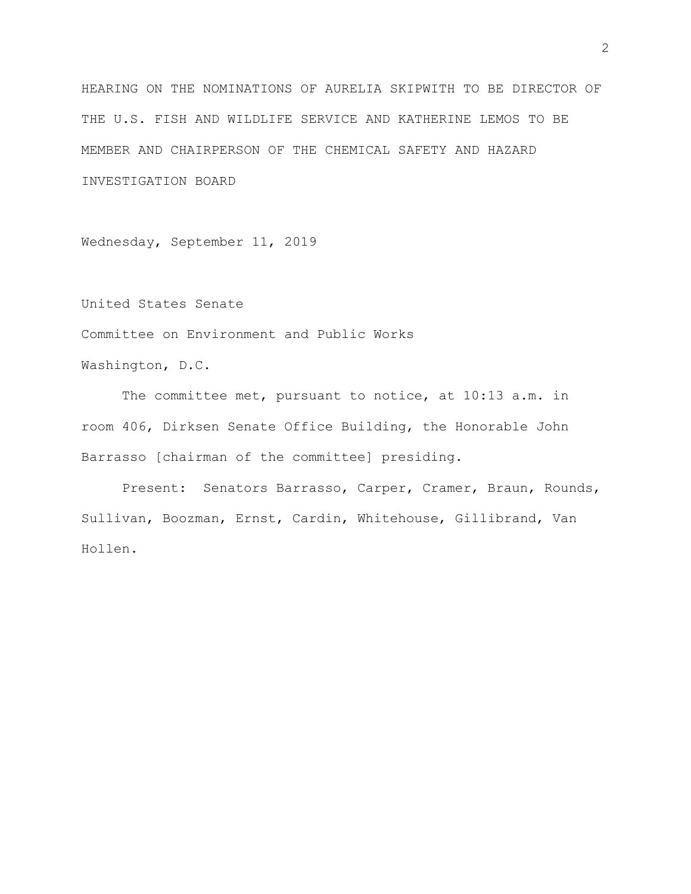[HEARING ON THE NOMINATIONS OF AURELIA SKIPWITH TO BE DIRECTOR OF](https://www.epw.senate.gov/public/index.cfm/hearings?ID=DBBE734D-D0DF-4EEA-8B57-AE82FDEC8E05)  [THE U.S. FISH AND WILDLIFE SERVICE AND KATHERINE LEMOS TO BE](https://www.epw.senate.gov/public/index.cfm/hearings?ID=DBBE734D-D0DF-4EEA-8B57-AE82FDEC8E05)  [MEMBER AND CHAIRPERSON OF THE CHEMICAL SAFETY AND HAZARD](https://www.epw.senate.gov/public/index.cfm/hearings?ID=DBBE734D-D0DF-4EEA-8B57-AE82FDEC8E05)  [INVESTIGATION BOARD](https://www.epw.senate.gov/public/index.cfm/hearings?ID=DBBE734D-D0DF-4EEA-8B57-AE82FDEC8E05)

Wednesday, September 11, 2019

United States Senate

Committee on Environment and Public Works

Washington, D.C.

The committee met, pursuant to notice, at 10:13 a.m. in room 406, Dirksen Senate Office Building, the Honorable John Barrasso [chairman of the committee] presiding.

Present: Senators Barrasso, Carper, Cramer, Braun, Rounds, Sullivan, Boozman, Ernst, Cardin, Whitehouse, Gillibrand, Van Hollen.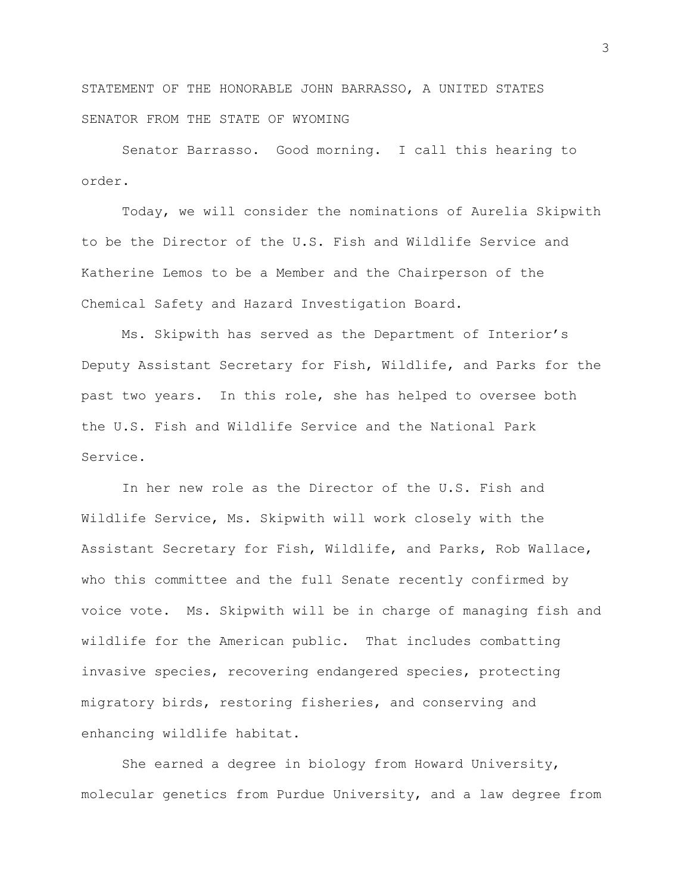STATEMENT OF THE HONORABLE JOHN BARRASSO, A UNITED STATES SENATOR FROM THE STATE OF WYOMING

Senator Barrasso. Good morning. I call this hearing to order.

Today, we will consider the nominations of Aurelia Skipwith to be the Director of the U.S. Fish and Wildlife Service and Katherine Lemos to be a Member and the Chairperson of the Chemical Safety and Hazard Investigation Board.

Ms. Skipwith has served as the Department of Interior's Deputy Assistant Secretary for Fish, Wildlife, and Parks for the past two years. In this role, she has helped to oversee both the U.S. Fish and Wildlife Service and the National Park Service.

In her new role as the Director of the U.S. Fish and Wildlife Service, Ms. Skipwith will work closely with the Assistant Secretary for Fish, Wildlife, and Parks, Rob Wallace, who this committee and the full Senate recently confirmed by voice vote. Ms. Skipwith will be in charge of managing fish and wildlife for the American public. That includes combatting invasive species, recovering endangered species, protecting migratory birds, restoring fisheries, and conserving and enhancing wildlife habitat.

She earned a degree in biology from Howard University, molecular genetics from Purdue University, and a law degree from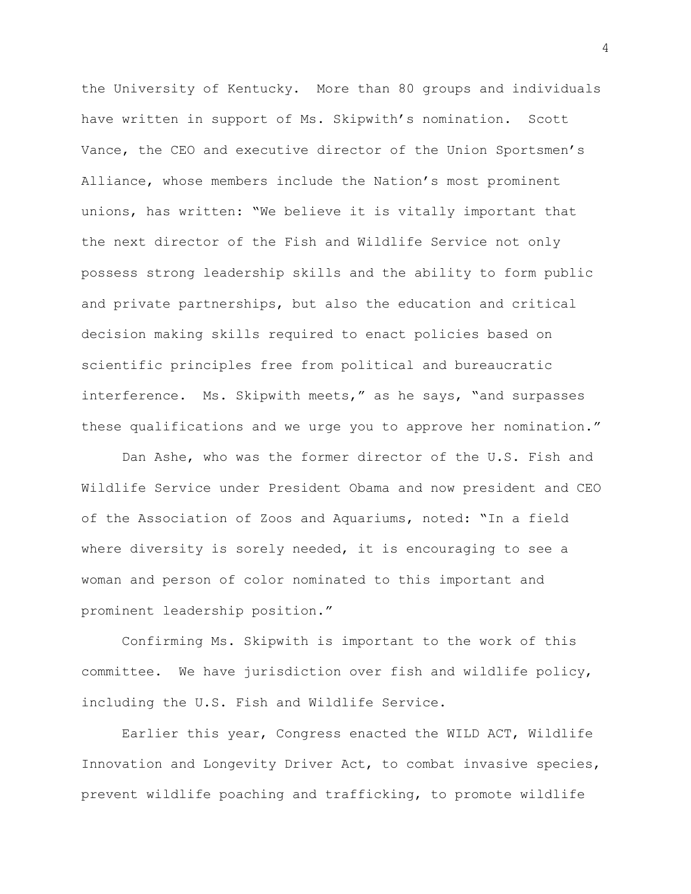the University of Kentucky. More than 80 groups and individuals have written in support of Ms. Skipwith's nomination. Scott Vance, the CEO and executive director of the Union Sportsmen's Alliance, whose members include the Nation's most prominent unions, has written: "We believe it is vitally important that the next director of the Fish and Wildlife Service not only possess strong leadership skills and the ability to form public and private partnerships, but also the education and critical decision making skills required to enact policies based on scientific principles free from political and bureaucratic interference. Ms. Skipwith meets," as he says, "and surpasses these qualifications and we urge you to approve her nomination."

Dan Ashe, who was the former director of the U.S. Fish and Wildlife Service under President Obama and now president and CEO of the Association of Zoos and Aquariums, noted: "In a field where diversity is sorely needed, it is encouraging to see a woman and person of color nominated to this important and prominent leadership position."

Confirming Ms. Skipwith is important to the work of this committee. We have jurisdiction over fish and wildlife policy, including the U.S. Fish and Wildlife Service.

Earlier this year, Congress enacted the WILD ACT, Wildlife Innovation and Longevity Driver Act, to combat invasive species, prevent wildlife poaching and trafficking, to promote wildlife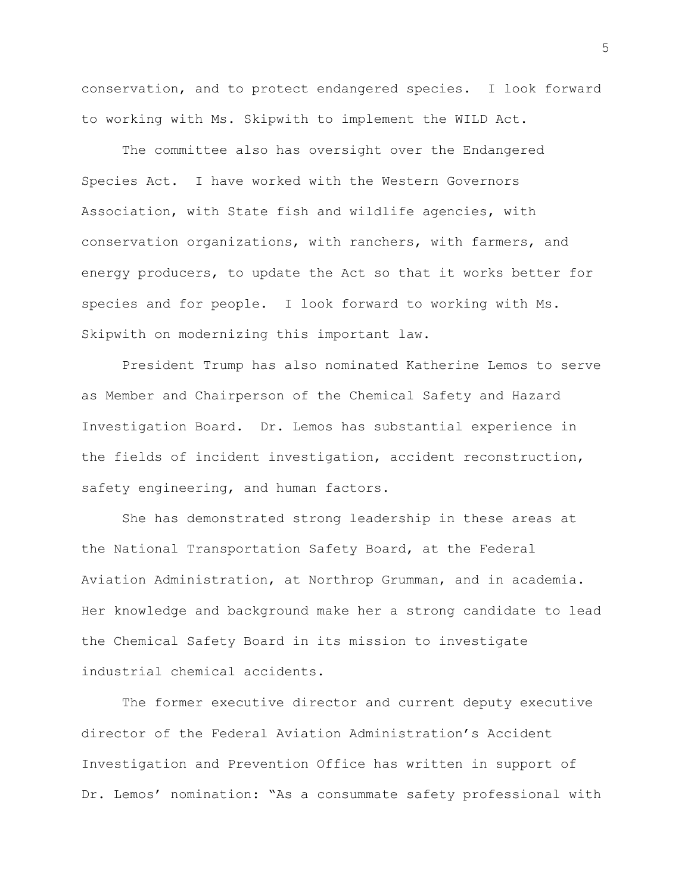conservation, and to protect endangered species. I look forward to working with Ms. Skipwith to implement the WILD Act.

The committee also has oversight over the Endangered Species Act. I have worked with the Western Governors Association, with State fish and wildlife agencies, with conservation organizations, with ranchers, with farmers, and energy producers, to update the Act so that it works better for species and for people. I look forward to working with Ms. Skipwith on modernizing this important law.

President Trump has also nominated Katherine Lemos to serve as Member and Chairperson of the Chemical Safety and Hazard Investigation Board. Dr. Lemos has substantial experience in the fields of incident investigation, accident reconstruction, safety engineering, and human factors.

She has demonstrated strong leadership in these areas at the National Transportation Safety Board, at the Federal Aviation Administration, at Northrop Grumman, and in academia. Her knowledge and background make her a strong candidate to lead the Chemical Safety Board in its mission to investigate industrial chemical accidents.

The former executive director and current deputy executive director of the Federal Aviation Administration's Accident Investigation and Prevention Office has written in support of Dr. Lemos' nomination: "As a consummate safety professional with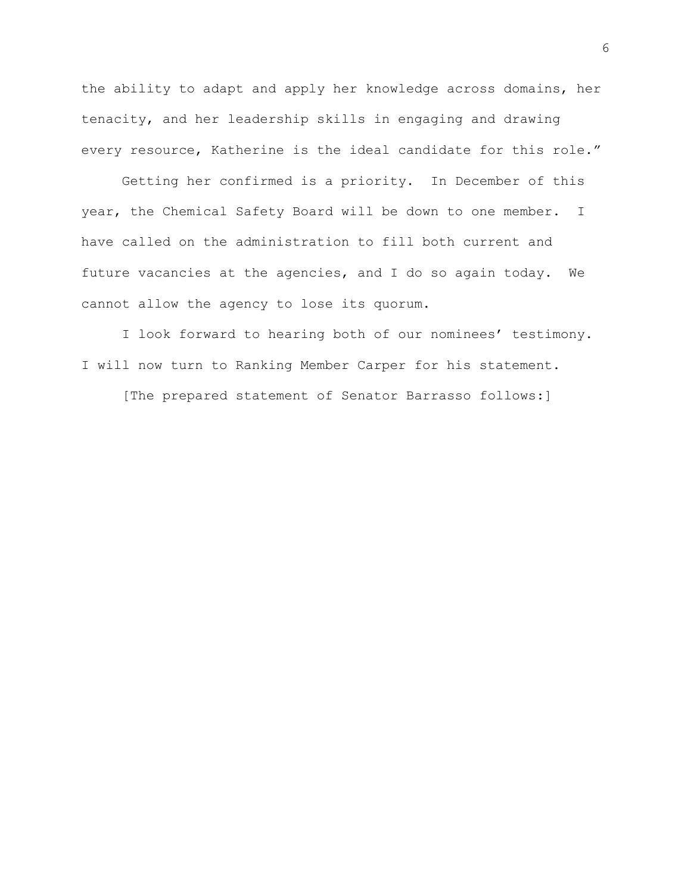the ability to adapt and apply her knowledge across domains, her tenacity, and her leadership skills in engaging and drawing every resource, Katherine is the ideal candidate for this role."

Getting her confirmed is a priority. In December of this year, the Chemical Safety Board will be down to one member. I have called on the administration to fill both current and future vacancies at the agencies, and I do so again today. We cannot allow the agency to lose its quorum.

I look forward to hearing both of our nominees' testimony. I will now turn to Ranking Member Carper for his statement.

[The prepared statement of Senator Barrasso follows:]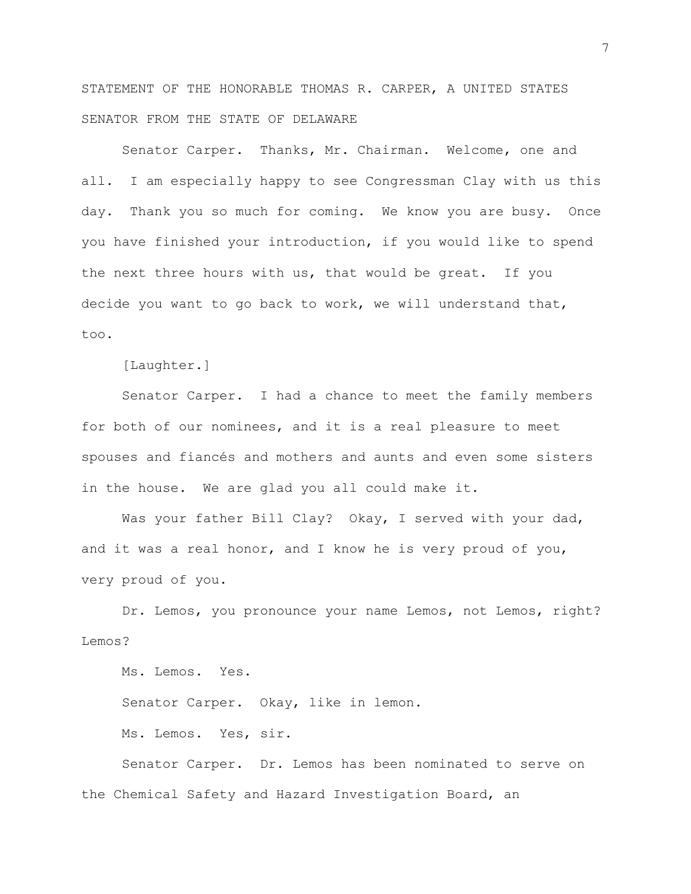STATEMENT OF THE HONORABLE THOMAS R. CARPER, A UNITED STATES SENATOR FROM THE STATE OF DELAWARE

Senator Carper. Thanks, Mr. Chairman. Welcome, one and all. I am especially happy to see Congressman Clay with us this day. Thank you so much for coming. We know you are busy. Once you have finished your introduction, if you would like to spend the next three hours with us, that would be great. If you decide you want to go back to work, we will understand that, too.

[Laughter.]

Senator Carper. I had a chance to meet the family members for both of our nominees, and it is a real pleasure to meet spouses and fiancés and mothers and aunts and even some sisters in the house. We are glad you all could make it.

Was your father Bill Clay? Okay, I served with your dad, and it was a real honor, and I know he is very proud of you, very proud of you.

Dr. Lemos, you pronounce your name Lemos, not Lemos, right? Lemos?

Ms. Lemos. Yes.

Senator Carper. Okay, like in lemon.

Ms. Lemos. Yes, sir.

Senator Carper. Dr. Lemos has been nominated to serve on the Chemical Safety and Hazard Investigation Board, an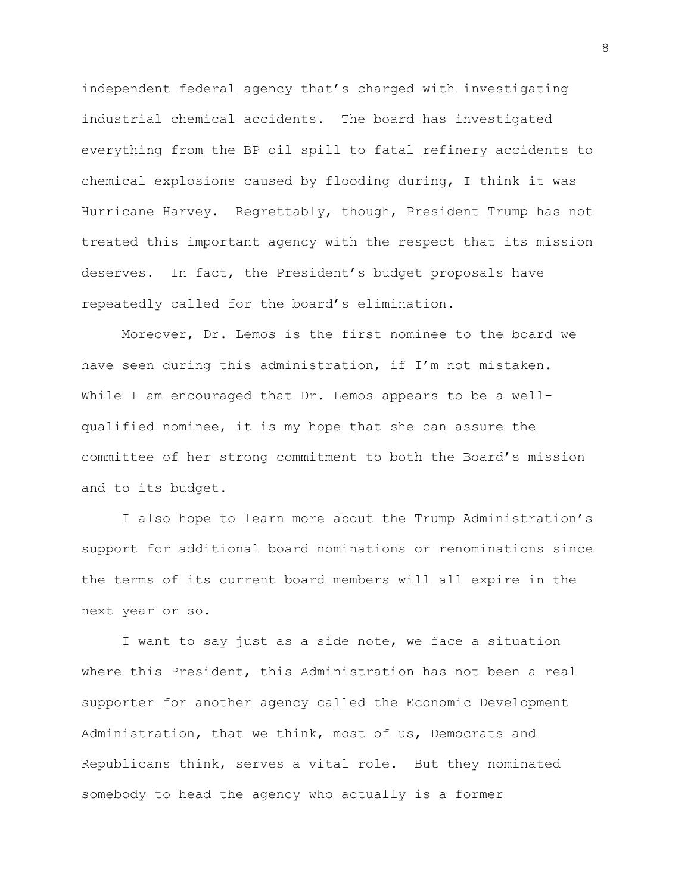independent federal agency that's charged with investigating industrial chemical accidents. The board has investigated everything from the BP oil spill to fatal refinery accidents to chemical explosions caused by flooding during, I think it was Hurricane Harvey. Regrettably, though, President Trump has not treated this important agency with the respect that its mission deserves. In fact, the President's budget proposals have repeatedly called for the board's elimination.

Moreover, Dr. Lemos is the first nominee to the board we have seen during this administration, if I'm not mistaken. While I am encouraged that Dr. Lemos appears to be a wellqualified nominee, it is my hope that she can assure the committee of her strong commitment to both the Board's mission and to its budget.

I also hope to learn more about the Trump Administration's support for additional board nominations or renominations since the terms of its current board members will all expire in the next year or so.

I want to say just as a side note, we face a situation where this President, this Administration has not been a real supporter for another agency called the Economic Development Administration, that we think, most of us, Democrats and Republicans think, serves a vital role. But they nominated somebody to head the agency who actually is a former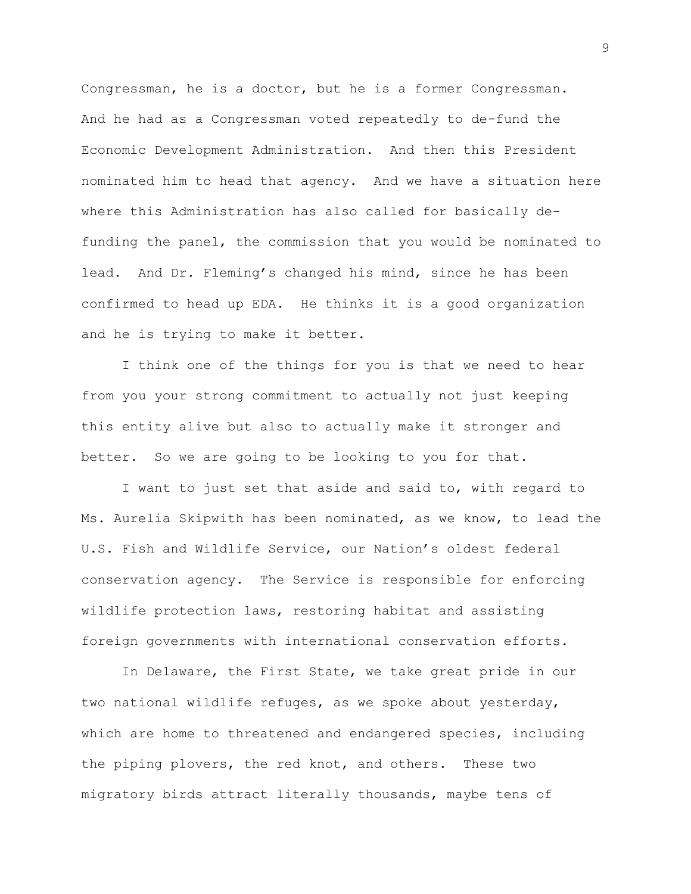Congressman, he is a doctor, but he is a former Congressman. And he had as a Congressman voted repeatedly to de-fund the Economic Development Administration. And then this President nominated him to head that agency. And we have a situation here where this Administration has also called for basically defunding the panel, the commission that you would be nominated to lead. And Dr. Fleming's changed his mind, since he has been confirmed to head up EDA. He thinks it is a good organization and he is trying to make it better.

I think one of the things for you is that we need to hear from you your strong commitment to actually not just keeping this entity alive but also to actually make it stronger and better. So we are going to be looking to you for that.

I want to just set that aside and said to, with regard to Ms. Aurelia Skipwith has been nominated, as we know, to lead the U.S. Fish and Wildlife Service, our Nation's oldest federal conservation agency. The Service is responsible for enforcing wildlife protection laws, restoring habitat and assisting foreign governments with international conservation efforts.

In Delaware, the First State, we take great pride in our two national wildlife refuges, as we spoke about yesterday, which are home to threatened and endangered species, including the piping plovers, the red knot, and others. These two migratory birds attract literally thousands, maybe tens of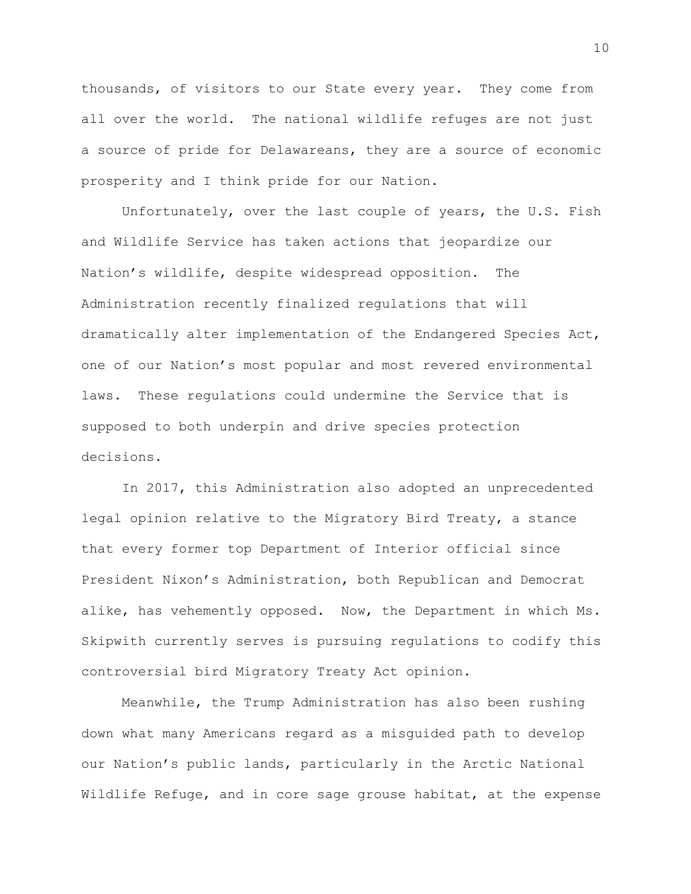thousands, of visitors to our State every year. They come from all over the world. The national wildlife refuges are not just a source of pride for Delawareans, they are a source of economic prosperity and I think pride for our Nation.

Unfortunately, over the last couple of years, the U.S. Fish and Wildlife Service has taken actions that jeopardize our Nation's wildlife, despite widespread opposition. The Administration recently finalized regulations that will dramatically alter implementation of the Endangered Species Act, one of our Nation's most popular and most revered environmental laws. These regulations could undermine the Service that is supposed to both underpin and drive species protection decisions.

In 2017, this Administration also adopted an unprecedented legal opinion relative to the Migratory Bird Treaty, a stance that every former top Department of Interior official since President Nixon's Administration, both Republican and Democrat alike, has vehemently opposed. Now, the Department in which Ms. Skipwith currently serves is pursuing regulations to codify this controversial bird Migratory Treaty Act opinion.

Meanwhile, the Trump Administration has also been rushing down what many Americans regard as a misguided path to develop our Nation's public lands, particularly in the Arctic National Wildlife Refuge, and in core sage grouse habitat, at the expense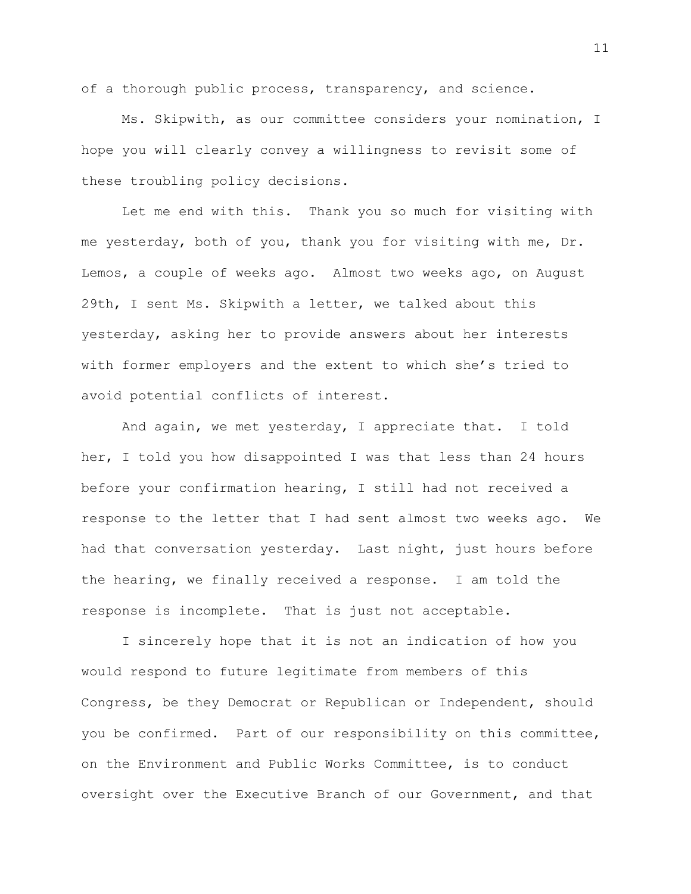of a thorough public process, transparency, and science.

Ms. Skipwith, as our committee considers your nomination, I hope you will clearly convey a willingness to revisit some of these troubling policy decisions.

Let me end with this. Thank you so much for visiting with me yesterday, both of you, thank you for visiting with me, Dr. Lemos, a couple of weeks ago. Almost two weeks ago, on August 29th, I sent Ms. Skipwith a letter, we talked about this yesterday, asking her to provide answers about her interests with former employers and the extent to which she's tried to avoid potential conflicts of interest.

And again, we met yesterday, I appreciate that. I told her, I told you how disappointed I was that less than 24 hours before your confirmation hearing, I still had not received a response to the letter that I had sent almost two weeks ago. We had that conversation yesterday. Last night, just hours before the hearing, we finally received a response. I am told the response is incomplete. That is just not acceptable.

I sincerely hope that it is not an indication of how you would respond to future legitimate from members of this Congress, be they Democrat or Republican or Independent, should you be confirmed. Part of our responsibility on this committee, on the Environment and Public Works Committee, is to conduct oversight over the Executive Branch of our Government, and that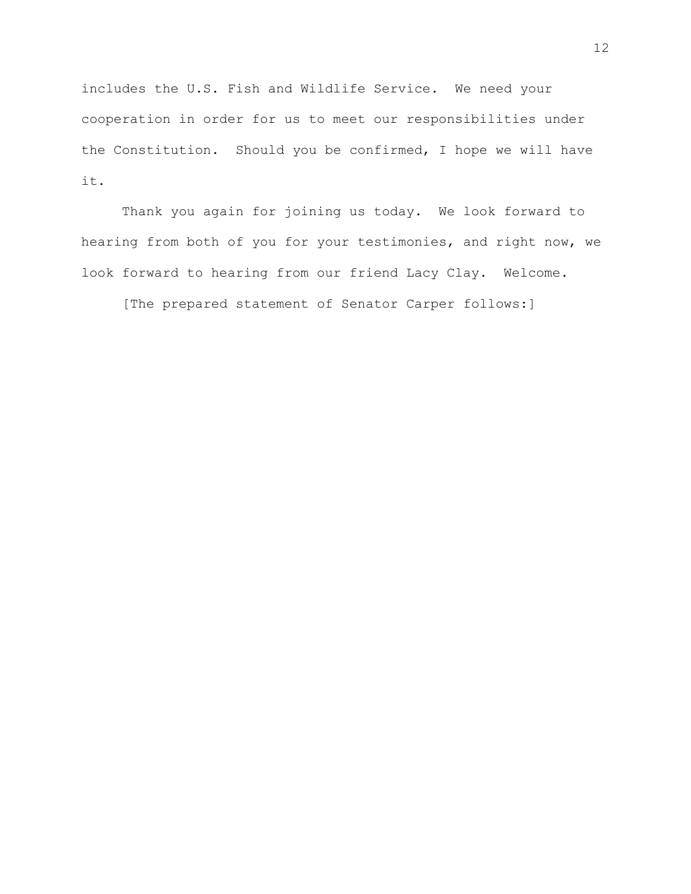includes the U.S. Fish and Wildlife Service. We need your cooperation in order for us to meet our responsibilities under the Constitution. Should you be confirmed, I hope we will have it.

Thank you again for joining us today. We look forward to hearing from both of you for your testimonies, and right now, we look forward to hearing from our friend Lacy Clay. Welcome.

[The prepared statement of Senator Carper follows:]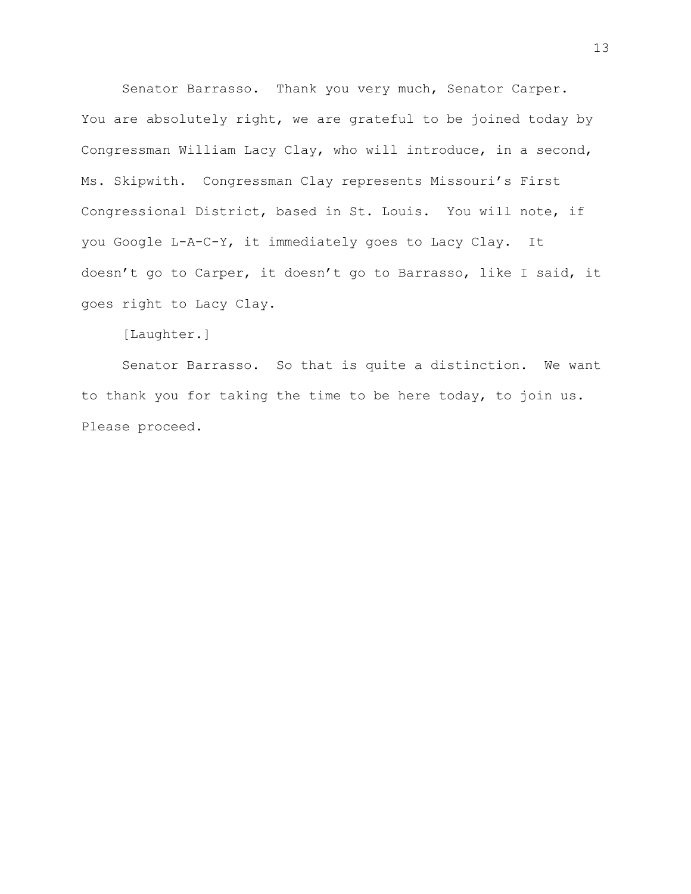Senator Barrasso. Thank you very much, Senator Carper. You are absolutely right, we are grateful to be joined today by Congressman William Lacy Clay, who will introduce, in a second, Ms. Skipwith. Congressman Clay represents Missouri's First Congressional District, based in St. Louis. You will note, if you Google L-A-C-Y, it immediately goes to Lacy Clay. It doesn't go to Carper, it doesn't go to Barrasso, like I said, it goes right to Lacy Clay.

[Laughter.]

Senator Barrasso. So that is quite a distinction. We want to thank you for taking the time to be here today, to join us. Please proceed.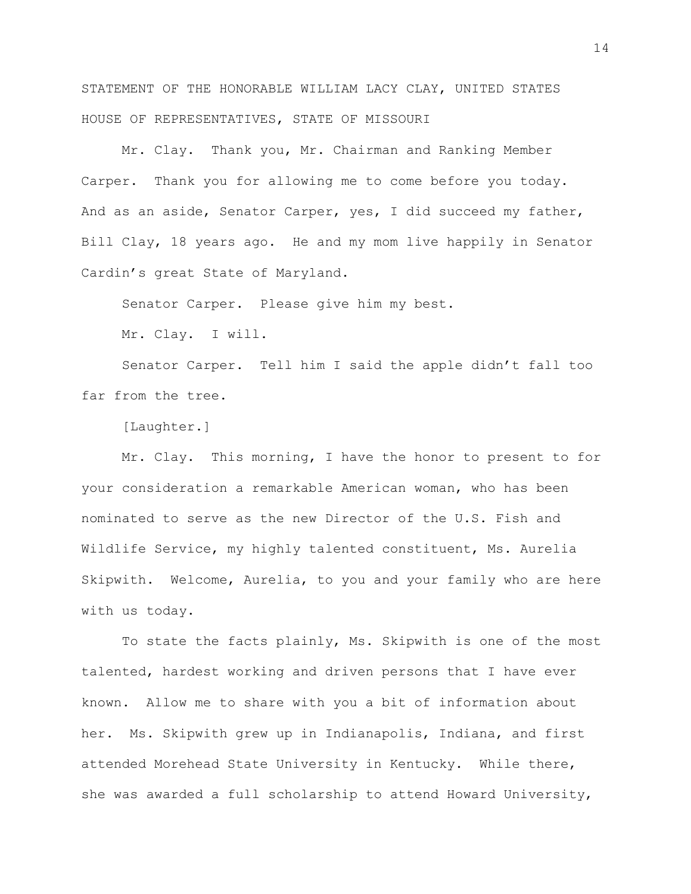STATEMENT OF THE HONORABLE WILLIAM LACY CLAY, UNITED STATES HOUSE OF REPRESENTATIVES, STATE OF MISSOURI

Mr. Clay. Thank you, Mr. Chairman and Ranking Member Carper. Thank you for allowing me to come before you today. And as an aside, Senator Carper, yes, I did succeed my father, Bill Clay, 18 years ago. He and my mom live happily in Senator Cardin's great State of Maryland.

Senator Carper. Please give him my best.

Mr. Clay. I will.

Senator Carper. Tell him I said the apple didn't fall too far from the tree.

[Laughter.]

Mr. Clay. This morning, I have the honor to present to for your consideration a remarkable American woman, who has been nominated to serve as the new Director of the U.S. Fish and Wildlife Service, my highly talented constituent, Ms. Aurelia Skipwith. Welcome, Aurelia, to you and your family who are here with us today.

To state the facts plainly, Ms. Skipwith is one of the most talented, hardest working and driven persons that I have ever known. Allow me to share with you a bit of information about her. Ms. Skipwith grew up in Indianapolis, Indiana, and first attended Morehead State University in Kentucky. While there, she was awarded a full scholarship to attend Howard University,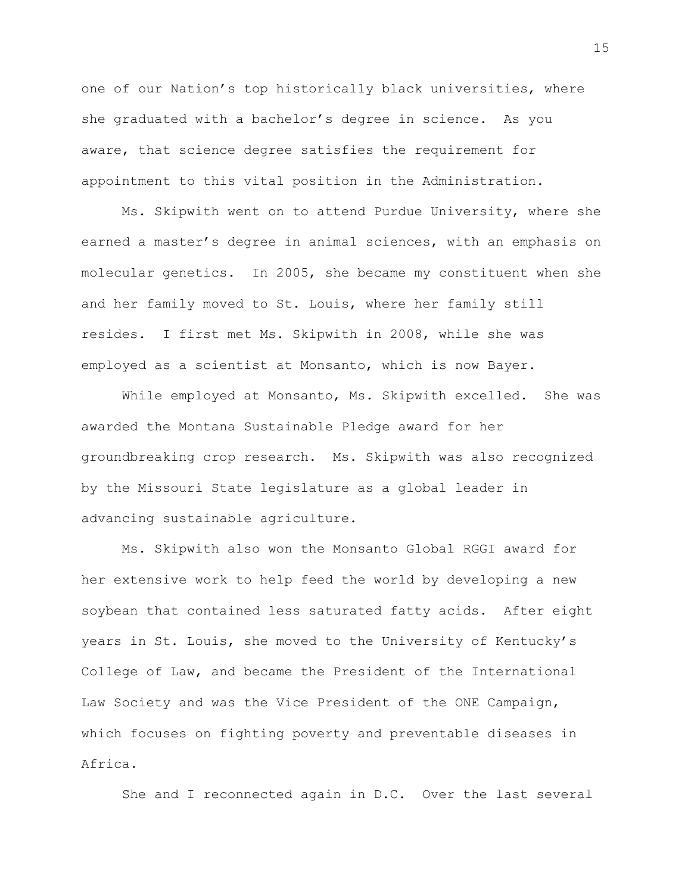one of our Nation's top historically black universities, where she graduated with a bachelor's degree in science. As you aware, that science degree satisfies the requirement for appointment to this vital position in the Administration.

Ms. Skipwith went on to attend Purdue University, where she earned a master's degree in animal sciences, with an emphasis on molecular genetics. In 2005, she became my constituent when she and her family moved to St. Louis, where her family still resides. I first met Ms. Skipwith in 2008, while she was employed as a scientist at Monsanto, which is now Bayer.

While employed at Monsanto, Ms. Skipwith excelled. She was awarded the Montana Sustainable Pledge award for her groundbreaking crop research. Ms. Skipwith was also recognized by the Missouri State legislature as a global leader in advancing sustainable agriculture.

Ms. Skipwith also won the Monsanto Global RGGI award for her extensive work to help feed the world by developing a new soybean that contained less saturated fatty acids. After eight years in St. Louis, she moved to the University of Kentucky's College of Law, and became the President of the International Law Society and was the Vice President of the ONE Campaign, which focuses on fighting poverty and preventable diseases in Africa.

She and I reconnected again in D.C. Over the last several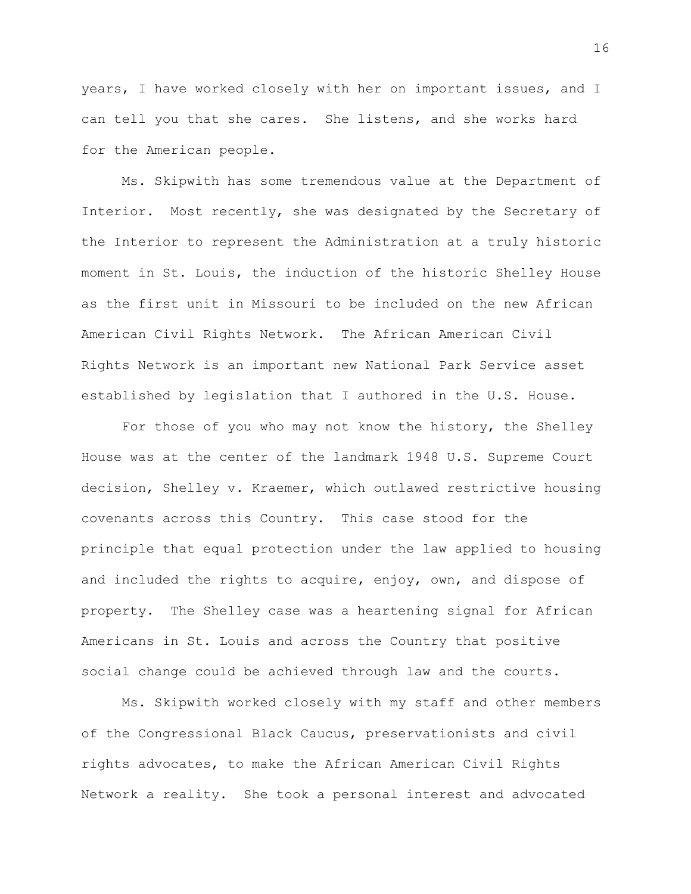years, I have worked closely with her on important issues, and I can tell you that she cares. She listens, and she works hard for the American people.

Ms. Skipwith has some tremendous value at the Department of Interior. Most recently, she was designated by the Secretary of the Interior to represent the Administration at a truly historic moment in St. Louis, the induction of the historic Shelley House as the first unit in Missouri to be included on the new African American Civil Rights Network. The African American Civil Rights Network is an important new National Park Service asset established by legislation that I authored in the U.S. House.

For those of you who may not know the history, the Shelley House was at the center of the landmark 1948 U.S. Supreme Court decision, Shelley v. Kraemer, which outlawed restrictive housing covenants across this Country. This case stood for the principle that equal protection under the law applied to housing and included the rights to acquire, enjoy, own, and dispose of property. The Shelley case was a heartening signal for African Americans in St. Louis and across the Country that positive social change could be achieved through law and the courts.

Ms. Skipwith worked closely with my staff and other members of the Congressional Black Caucus, preservationists and civil rights advocates, to make the African American Civil Rights Network a reality. She took a personal interest and advocated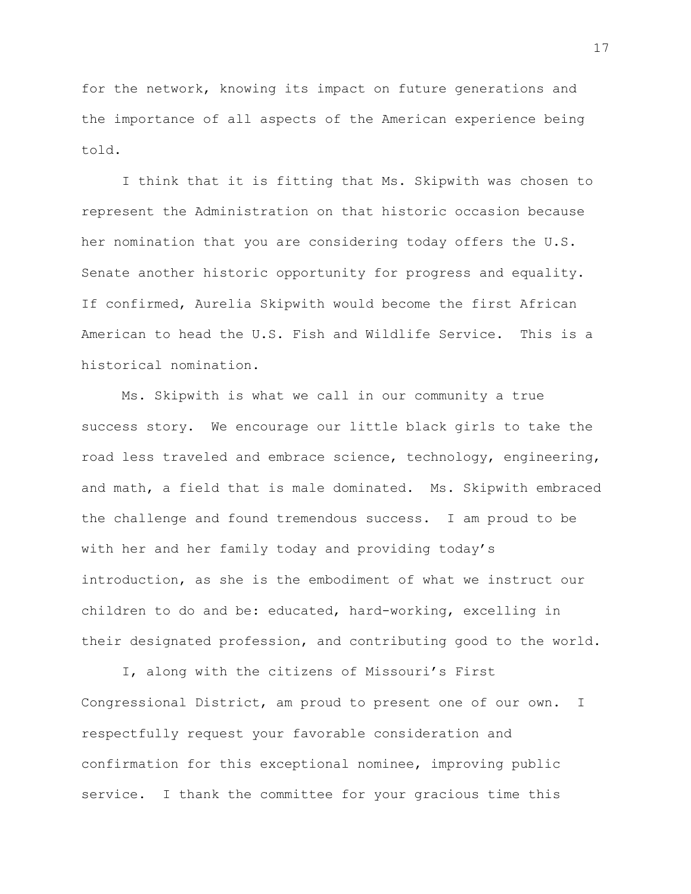for the network, knowing its impact on future generations and the importance of all aspects of the American experience being told.

I think that it is fitting that Ms. Skipwith was chosen to represent the Administration on that historic occasion because her nomination that you are considering today offers the U.S. Senate another historic opportunity for progress and equality. If confirmed, Aurelia Skipwith would become the first African American to head the U.S. Fish and Wildlife Service. This is a historical nomination.

Ms. Skipwith is what we call in our community a true success story. We encourage our little black girls to take the road less traveled and embrace science, technology, engineering, and math, a field that is male dominated. Ms. Skipwith embraced the challenge and found tremendous success. I am proud to be with her and her family today and providing today's introduction, as she is the embodiment of what we instruct our children to do and be: educated, hard-working, excelling in their designated profession, and contributing good to the world.

I, along with the citizens of Missouri's First Congressional District, am proud to present one of our own. I respectfully request your favorable consideration and confirmation for this exceptional nominee, improving public service. I thank the committee for your gracious time this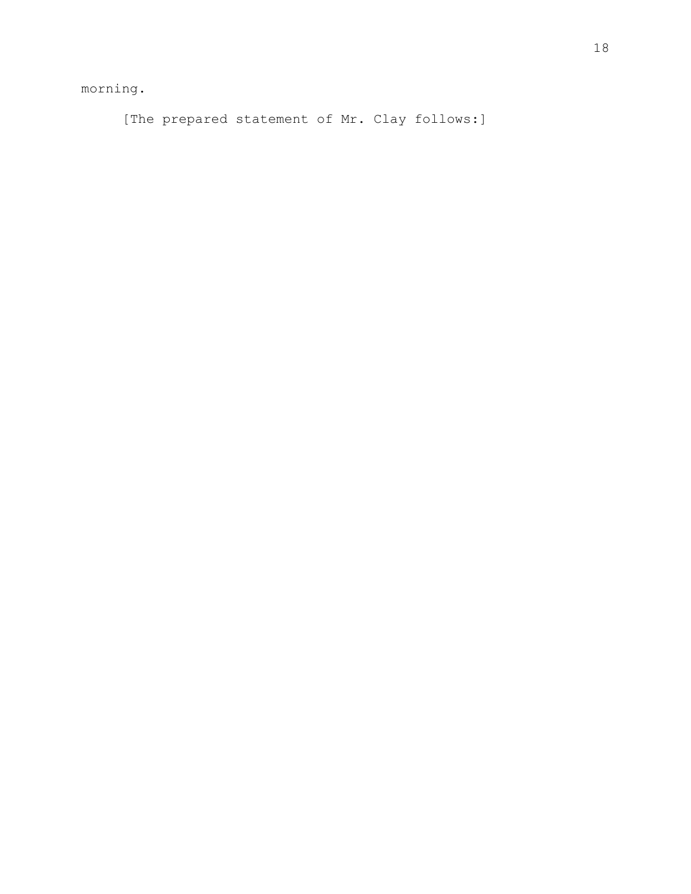morning.

[The prepared statement of Mr. Clay follows:]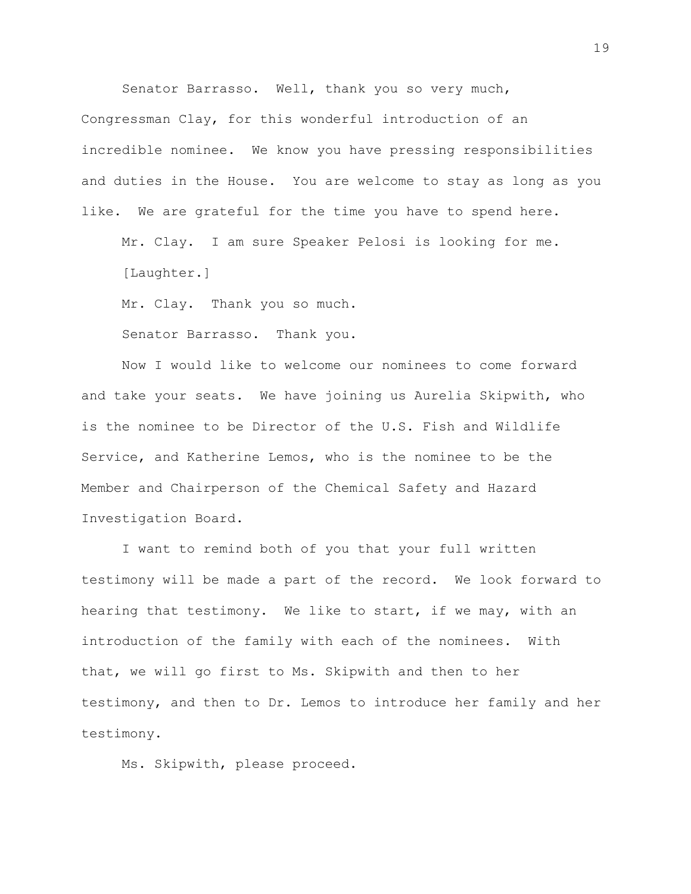Senator Barrasso. Well, thank you so very much,

Congressman Clay, for this wonderful introduction of an incredible nominee. We know you have pressing responsibilities and duties in the House. You are welcome to stay as long as you like. We are grateful for the time you have to spend here.

Mr. Clay. I am sure Speaker Pelosi is looking for me. [Laughter.]

Mr. Clay. Thank you so much.

Senator Barrasso. Thank you.

Now I would like to welcome our nominees to come forward and take your seats. We have joining us Aurelia Skipwith, who is the nominee to be Director of the U.S. Fish and Wildlife Service, and Katherine Lemos, who is the nominee to be the Member and Chairperson of the Chemical Safety and Hazard Investigation Board.

I want to remind both of you that your full written testimony will be made a part of the record. We look forward to hearing that testimony. We like to start, if we may, with an introduction of the family with each of the nominees. With that, we will go first to Ms. Skipwith and then to her testimony, and then to Dr. Lemos to introduce her family and her testimony.

Ms. Skipwith, please proceed.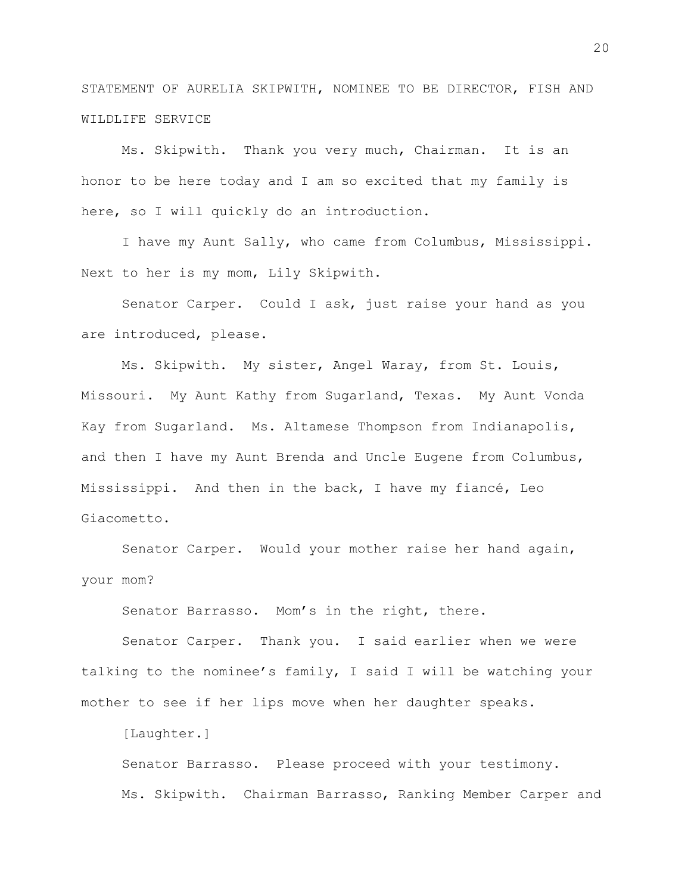STATEMENT OF AURELIA SKIPWITH, NOMINEE TO BE DIRECTOR, FISH AND WILDLIFE SERVICE

Ms. Skipwith. Thank you very much, Chairman. It is an honor to be here today and I am so excited that my family is here, so I will quickly do an introduction.

I have my Aunt Sally, who came from Columbus, Mississippi. Next to her is my mom, Lily Skipwith.

Senator Carper. Could I ask, just raise your hand as you are introduced, please.

Ms. Skipwith. My sister, Angel Waray, from St. Louis, Missouri. My Aunt Kathy from Sugarland, Texas. My Aunt Vonda Kay from Sugarland. Ms. Altamese Thompson from Indianapolis, and then I have my Aunt Brenda and Uncle Eugene from Columbus, Mississippi. And then in the back, I have my fiancé, Leo Giacometto.

Senator Carper. Would your mother raise her hand again, your mom?

Senator Barrasso. Mom's in the right, there.

Senator Carper. Thank you. I said earlier when we were talking to the nominee's family, I said I will be watching your mother to see if her lips move when her daughter speaks.

[Laughter.]

Senator Barrasso. Please proceed with your testimony. Ms. Skipwith. Chairman Barrasso, Ranking Member Carper and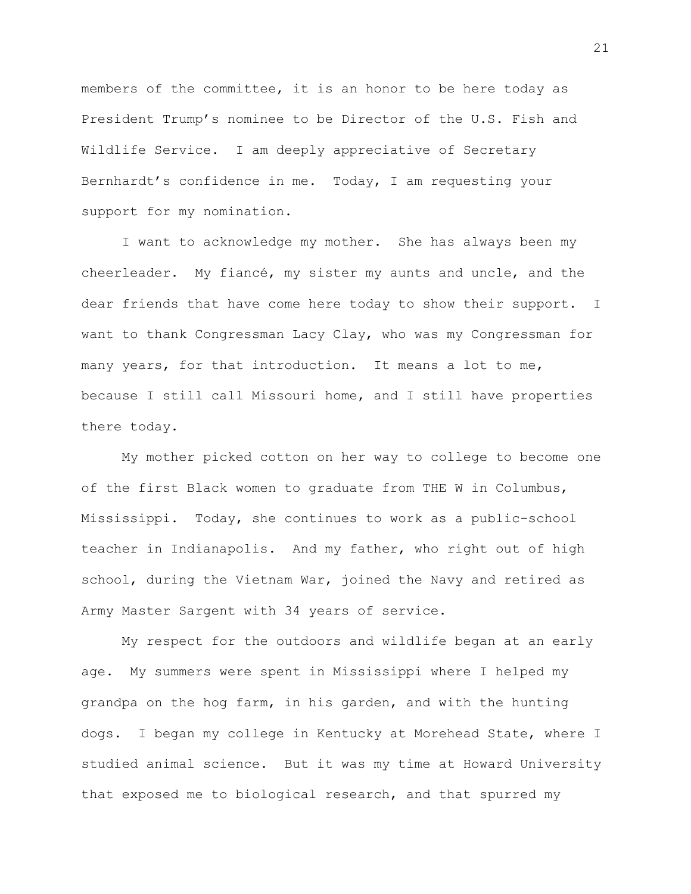members of the committee, it is an honor to be here today as President Trump's nominee to be Director of the U.S. Fish and Wildlife Service. I am deeply appreciative of Secretary Bernhardt's confidence in me. Today, I am requesting your support for my nomination.

I want to acknowledge my mother. She has always been my cheerleader. My fiancé, my sister my aunts and uncle, and the dear friends that have come here today to show their support. I want to thank Congressman Lacy Clay, who was my Congressman for many years, for that introduction. It means a lot to me, because I still call Missouri home, and I still have properties there today.

My mother picked cotton on her way to college to become one of the first Black women to graduate from THE W in Columbus, Mississippi. Today, she continues to work as a public-school teacher in Indianapolis. And my father, who right out of high school, during the Vietnam War, joined the Navy and retired as Army Master Sargent with 34 years of service.

My respect for the outdoors and wildlife began at an early age. My summers were spent in Mississippi where I helped my grandpa on the hog farm, in his garden, and with the hunting dogs. I began my college in Kentucky at Morehead State, where I studied animal science. But it was my time at Howard University that exposed me to biological research, and that spurred my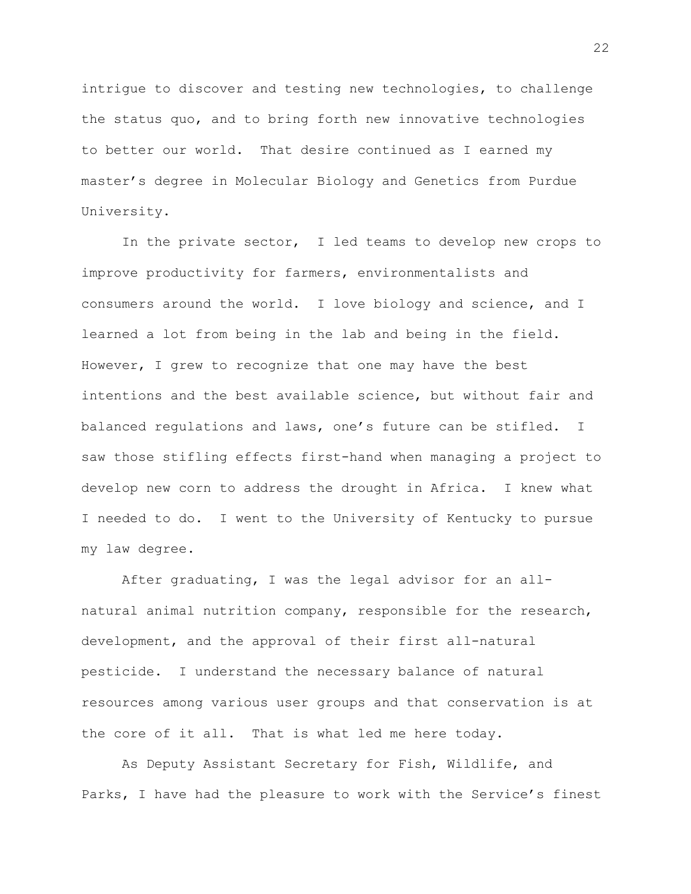intrigue to discover and testing new technologies, to challenge the status quo, and to bring forth new innovative technologies to better our world. That desire continued as I earned my master's degree in Molecular Biology and Genetics from Purdue University.

In the private sector, I led teams to develop new crops to improve productivity for farmers, environmentalists and consumers around the world. I love biology and science, and I learned a lot from being in the lab and being in the field. However, I grew to recognize that one may have the best intentions and the best available science, but without fair and balanced regulations and laws, one's future can be stifled. I saw those stifling effects first-hand when managing a project to develop new corn to address the drought in Africa. I knew what I needed to do. I went to the University of Kentucky to pursue my law degree.

After graduating, I was the legal advisor for an allnatural animal nutrition company, responsible for the research, development, and the approval of their first all-natural pesticide. I understand the necessary balance of natural resources among various user groups and that conservation is at the core of it all. That is what led me here today.

As Deputy Assistant Secretary for Fish, Wildlife, and Parks, I have had the pleasure to work with the Service's finest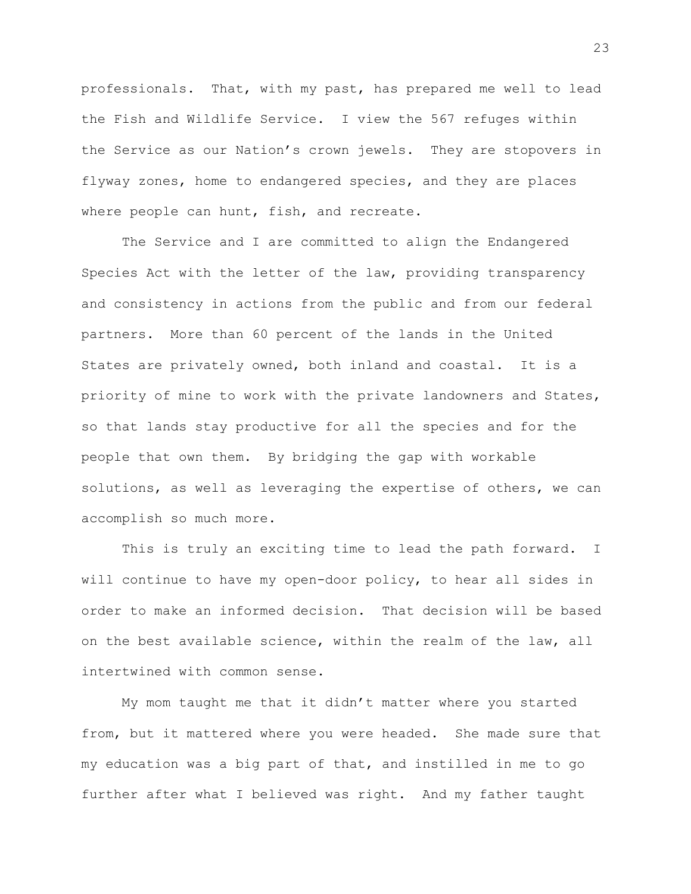professionals. That, with my past, has prepared me well to lead the Fish and Wildlife Service. I view the 567 refuges within the Service as our Nation's crown jewels. They are stopovers in flyway zones, home to endangered species, and they are places where people can hunt, fish, and recreate.

The Service and I are committed to align the Endangered Species Act with the letter of the law, providing transparency and consistency in actions from the public and from our federal partners. More than 60 percent of the lands in the United States are privately owned, both inland and coastal. It is a priority of mine to work with the private landowners and States, so that lands stay productive for all the species and for the people that own them. By bridging the gap with workable solutions, as well as leveraging the expertise of others, we can accomplish so much more.

This is truly an exciting time to lead the path forward. I will continue to have my open-door policy, to hear all sides in order to make an informed decision. That decision will be based on the best available science, within the realm of the law, all intertwined with common sense.

My mom taught me that it didn't matter where you started from, but it mattered where you were headed. She made sure that my education was a big part of that, and instilled in me to go further after what I believed was right. And my father taught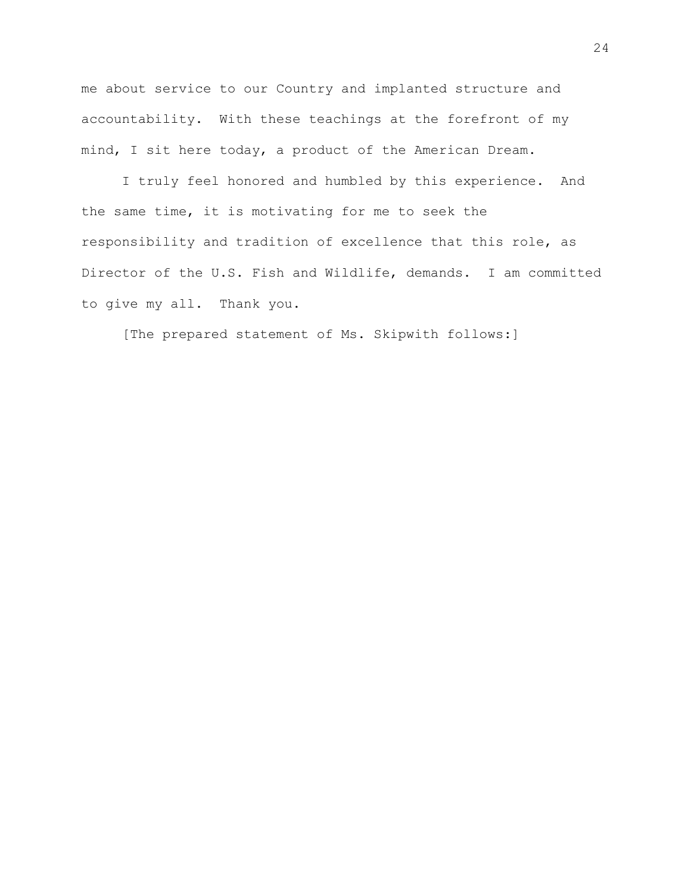me about service to our Country and implanted structure and accountability. With these teachings at the forefront of my mind, I sit here today, a product of the American Dream.

I truly feel honored and humbled by this experience. And the same time, it is motivating for me to seek the responsibility and tradition of excellence that this role, as Director of the U.S. Fish and Wildlife, demands. I am committed to give my all. Thank you.

[The prepared statement of Ms. Skipwith follows:]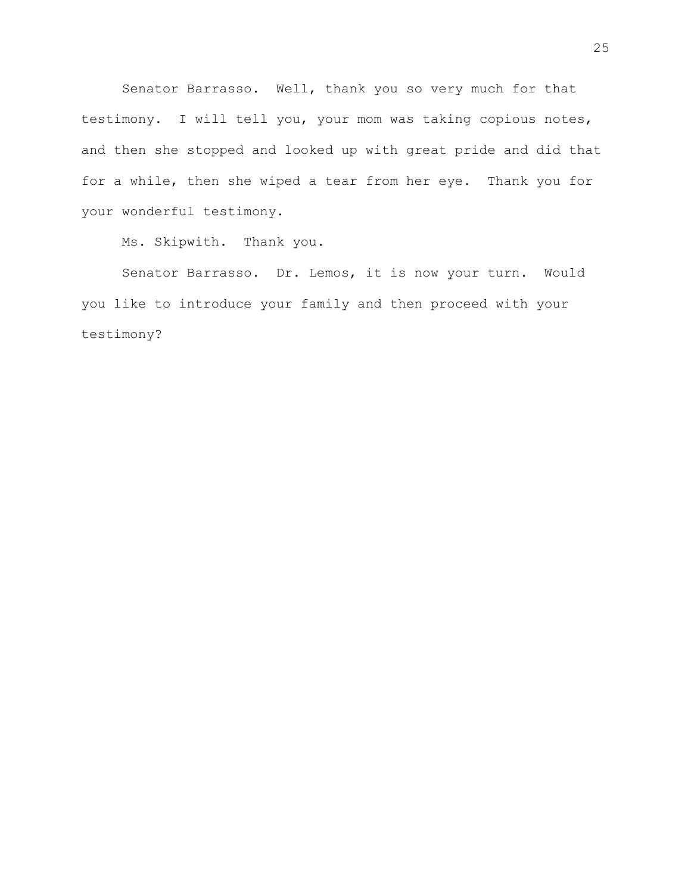Senator Barrasso. Well, thank you so very much for that testimony. I will tell you, your mom was taking copious notes, and then she stopped and looked up with great pride and did that for a while, then she wiped a tear from her eye. Thank you for your wonderful testimony.

Ms. Skipwith. Thank you.

Senator Barrasso. Dr. Lemos, it is now your turn. Would you like to introduce your family and then proceed with your testimony?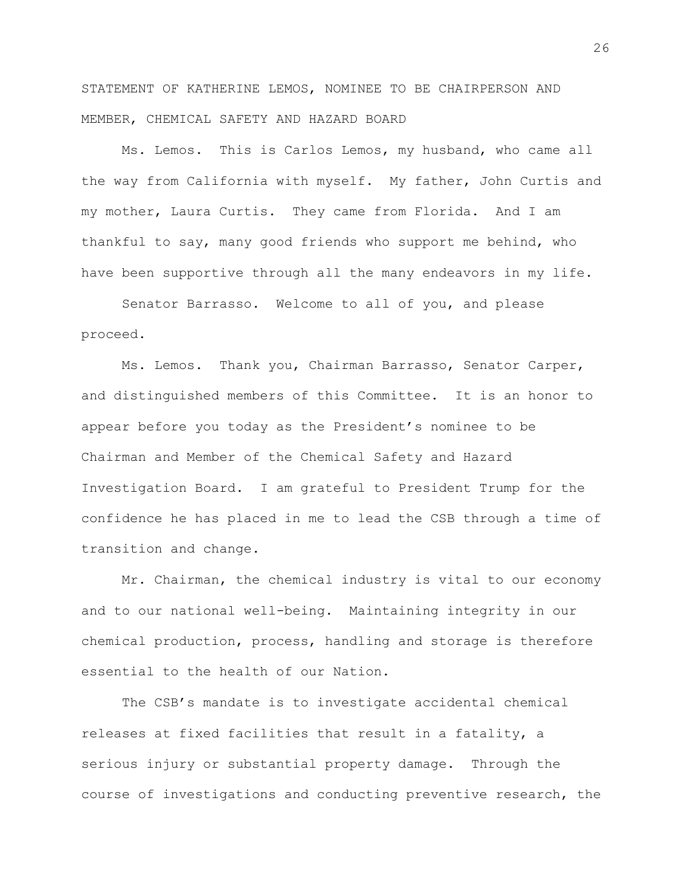STATEMENT OF KATHERINE LEMOS, NOMINEE TO BE CHAIRPERSON AND MEMBER, CHEMICAL SAFETY AND HAZARD BOARD

Ms. Lemos. This is Carlos Lemos, my husband, who came all the way from California with myself. My father, John Curtis and my mother, Laura Curtis. They came from Florida. And I am thankful to say, many good friends who support me behind, who have been supportive through all the many endeavors in my life.

Senator Barrasso. Welcome to all of you, and please proceed.

Ms. Lemos. Thank you, Chairman Barrasso, Senator Carper, and distinguished members of this Committee. It is an honor to appear before you today as the President's nominee to be Chairman and Member of the Chemical Safety and Hazard Investigation Board. I am grateful to President Trump for the confidence he has placed in me to lead the CSB through a time of transition and change.

Mr. Chairman, the chemical industry is vital to our economy and to our national well-being. Maintaining integrity in our chemical production, process, handling and storage is therefore essential to the health of our Nation.

The CSB's mandate is to investigate accidental chemical releases at fixed facilities that result in a fatality, a serious injury or substantial property damage. Through the course of investigations and conducting preventive research, the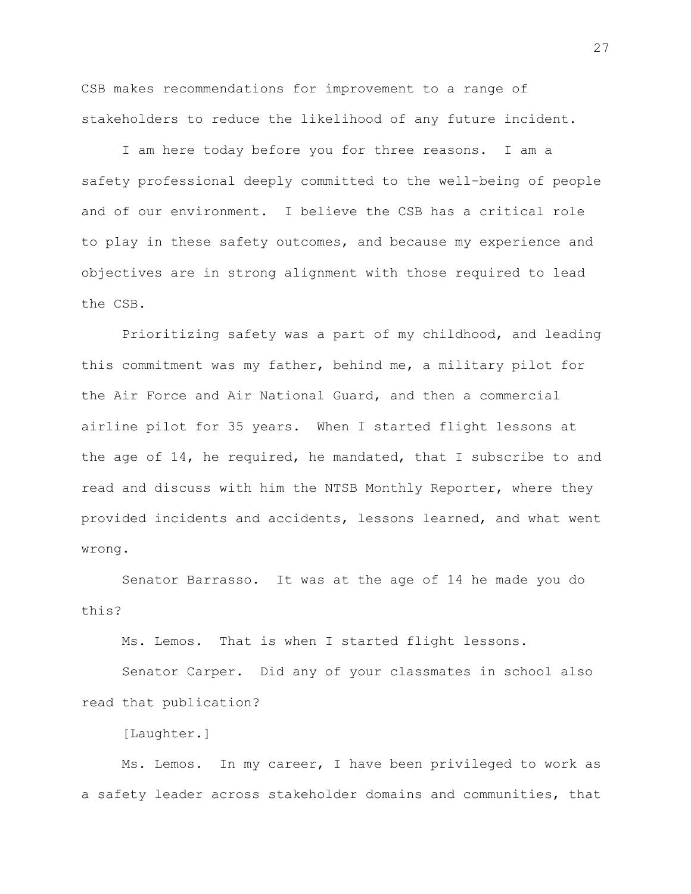CSB makes recommendations for improvement to a range of stakeholders to reduce the likelihood of any future incident.

I am here today before you for three reasons. I am a safety professional deeply committed to the well-being of people and of our environment. I believe the CSB has a critical role to play in these safety outcomes, and because my experience and objectives are in strong alignment with those required to lead the CSB.

Prioritizing safety was a part of my childhood, and leading this commitment was my father, behind me, a military pilot for the Air Force and Air National Guard, and then a commercial airline pilot for 35 years. When I started flight lessons at the age of 14, he required, he mandated, that I subscribe to and read and discuss with him the NTSB Monthly Reporter, where they provided incidents and accidents, lessons learned, and what went wrong.

Senator Barrasso. It was at the age of 14 he made you do this?

Ms. Lemos. That is when I started flight lessons.

Senator Carper. Did any of your classmates in school also read that publication?

[Laughter.]

Ms. Lemos. In my career, I have been privileged to work as a safety leader across stakeholder domains and communities, that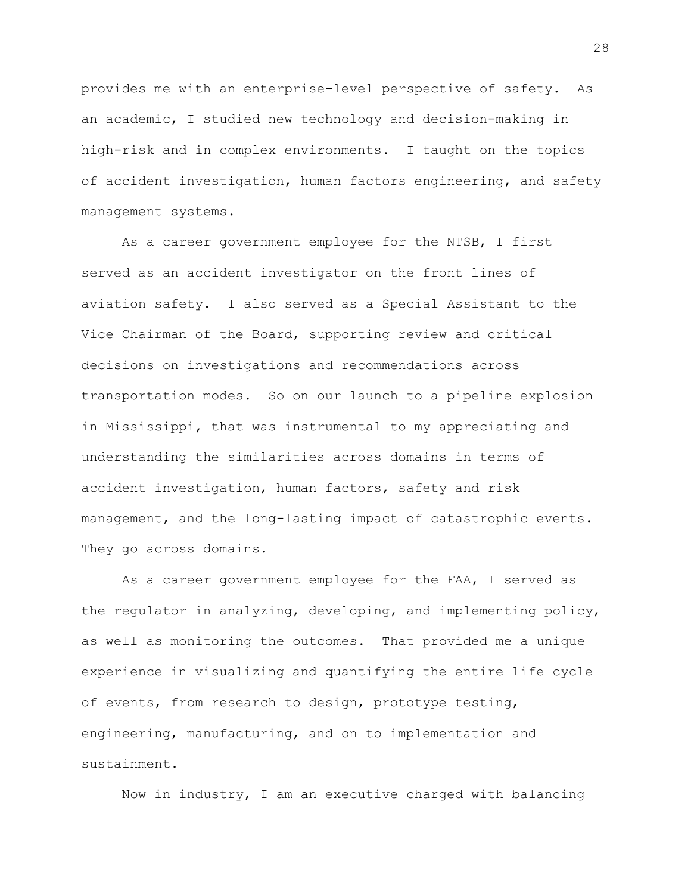provides me with an enterprise-level perspective of safety. As an academic, I studied new technology and decision-making in high-risk and in complex environments. I taught on the topics of accident investigation, human factors engineering, and safety management systems.

As a career government employee for the NTSB, I first served as an accident investigator on the front lines of aviation safety. I also served as a Special Assistant to the Vice Chairman of the Board, supporting review and critical decisions on investigations and recommendations across transportation modes. So on our launch to a pipeline explosion in Mississippi, that was instrumental to my appreciating and understanding the similarities across domains in terms of accident investigation, human factors, safety and risk management, and the long-lasting impact of catastrophic events. They go across domains.

As a career government employee for the FAA, I served as the regulator in analyzing, developing, and implementing policy, as well as monitoring the outcomes. That provided me a unique experience in visualizing and quantifying the entire life cycle of events, from research to design, prototype testing, engineering, manufacturing, and on to implementation and sustainment.

Now in industry, I am an executive charged with balancing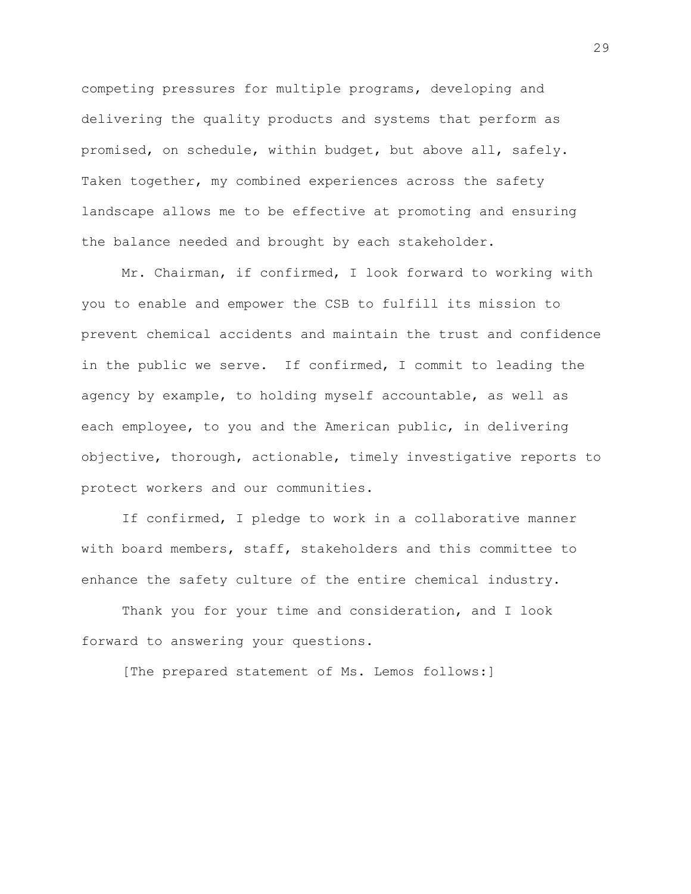competing pressures for multiple programs, developing and delivering the quality products and systems that perform as promised, on schedule, within budget, but above all, safely. Taken together, my combined experiences across the safety landscape allows me to be effective at promoting and ensuring the balance needed and brought by each stakeholder.

Mr. Chairman, if confirmed, I look forward to working with you to enable and empower the CSB to fulfill its mission to prevent chemical accidents and maintain the trust and confidence in the public we serve. If confirmed, I commit to leading the agency by example, to holding myself accountable, as well as each employee, to you and the American public, in delivering objective, thorough, actionable, timely investigative reports to protect workers and our communities.

If confirmed, I pledge to work in a collaborative manner with board members, staff, stakeholders and this committee to enhance the safety culture of the entire chemical industry.

Thank you for your time and consideration, and I look forward to answering your questions.

[The prepared statement of Ms. Lemos follows:]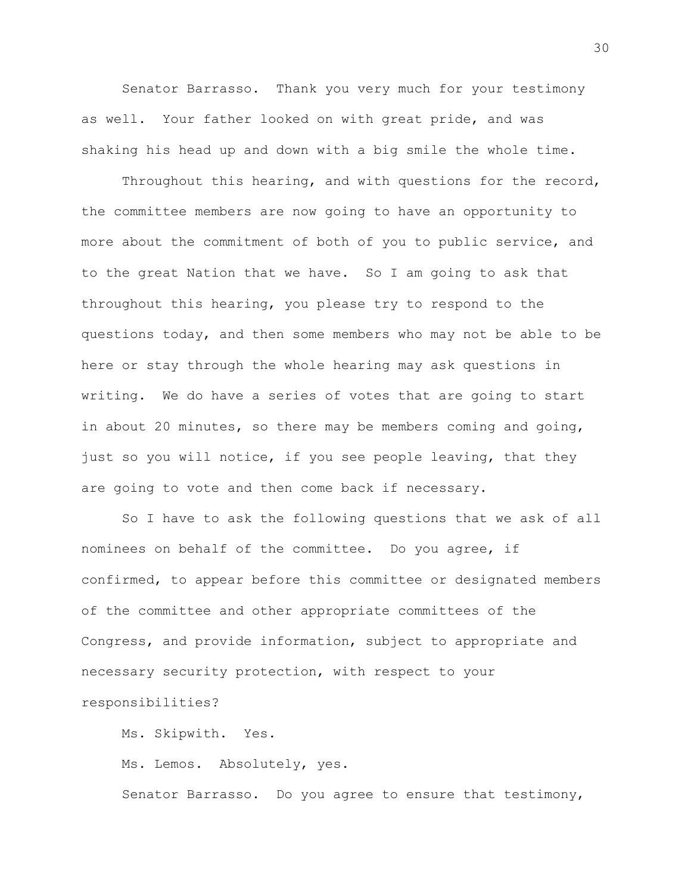Senator Barrasso. Thank you very much for your testimony as well. Your father looked on with great pride, and was shaking his head up and down with a big smile the whole time.

Throughout this hearing, and with questions for the record, the committee members are now going to have an opportunity to more about the commitment of both of you to public service, and to the great Nation that we have. So I am going to ask that throughout this hearing, you please try to respond to the questions today, and then some members who may not be able to be here or stay through the whole hearing may ask questions in writing. We do have a series of votes that are going to start in about 20 minutes, so there may be members coming and going, just so you will notice, if you see people leaving, that they are going to vote and then come back if necessary.

So I have to ask the following questions that we ask of all nominees on behalf of the committee. Do you agree, if confirmed, to appear before this committee or designated members of the committee and other appropriate committees of the Congress, and provide information, subject to appropriate and necessary security protection, with respect to your responsibilities?

Ms. Skipwith. Yes.

Ms. Lemos. Absolutely, yes.

Senator Barrasso. Do you agree to ensure that testimony,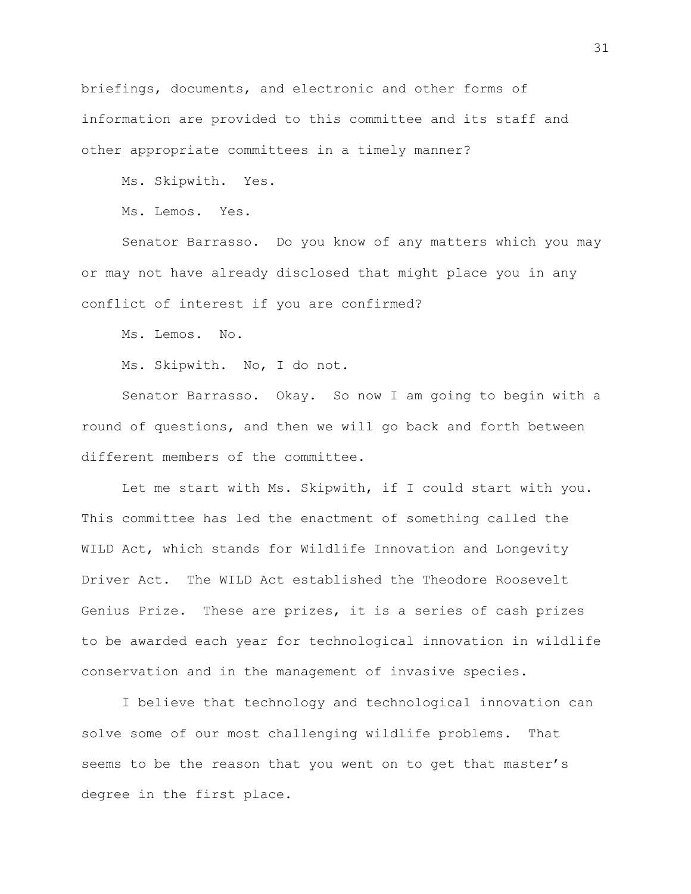briefings, documents, and electronic and other forms of information are provided to this committee and its staff and other appropriate committees in a timely manner?

Ms. Skipwith. Yes.

Ms. Lemos. Yes.

Senator Barrasso. Do you know of any matters which you may or may not have already disclosed that might place you in any conflict of interest if you are confirmed?

Ms. Lemos. No.

Ms. Skipwith. No, I do not.

Senator Barrasso. Okay. So now I am going to begin with a round of questions, and then we will go back and forth between different members of the committee.

Let me start with Ms. Skipwith, if I could start with you. This committee has led the enactment of something called the WILD Act, which stands for Wildlife Innovation and Longevity Driver Act. The WILD Act established the Theodore Roosevelt Genius Prize. These are prizes, it is a series of cash prizes to be awarded each year for technological innovation in wildlife conservation and in the management of invasive species.

I believe that technology and technological innovation can solve some of our most challenging wildlife problems. That seems to be the reason that you went on to get that master's degree in the first place.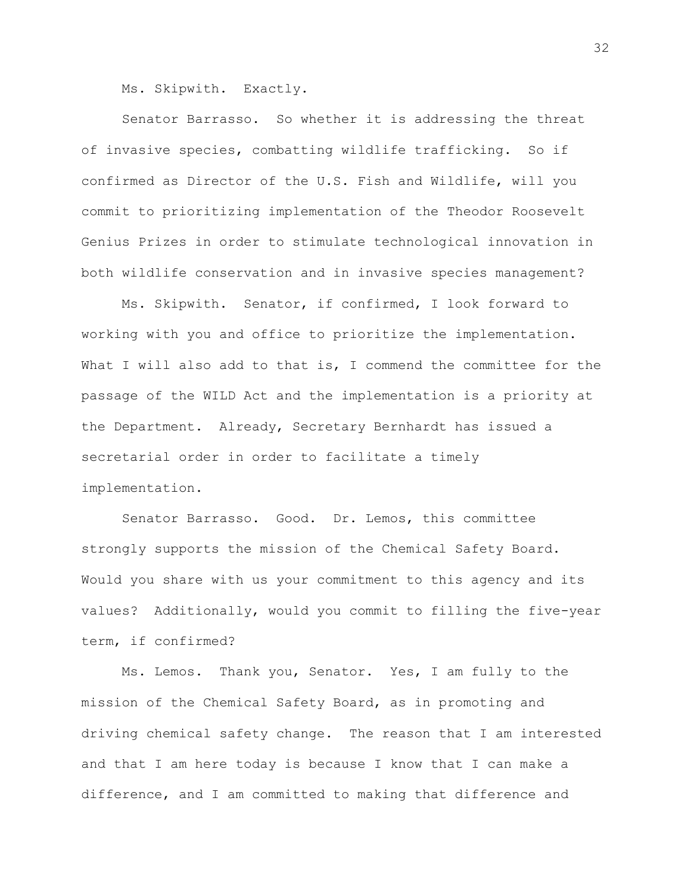Ms. Skipwith. Exactly.

Senator Barrasso. So whether it is addressing the threat of invasive species, combatting wildlife trafficking. So if confirmed as Director of the U.S. Fish and Wildlife, will you commit to prioritizing implementation of the Theodor Roosevelt Genius Prizes in order to stimulate technological innovation in both wildlife conservation and in invasive species management?

Ms. Skipwith. Senator, if confirmed, I look forward to working with you and office to prioritize the implementation. What I will also add to that is, I commend the committee for the passage of the WILD Act and the implementation is a priority at the Department. Already, Secretary Bernhardt has issued a secretarial order in order to facilitate a timely implementation.

Senator Barrasso. Good. Dr. Lemos, this committee strongly supports the mission of the Chemical Safety Board. Would you share with us your commitment to this agency and its values? Additionally, would you commit to filling the five-year term, if confirmed?

Ms. Lemos. Thank you, Senator. Yes, I am fully to the mission of the Chemical Safety Board, as in promoting and driving chemical safety change. The reason that I am interested and that I am here today is because I know that I can make a difference, and I am committed to making that difference and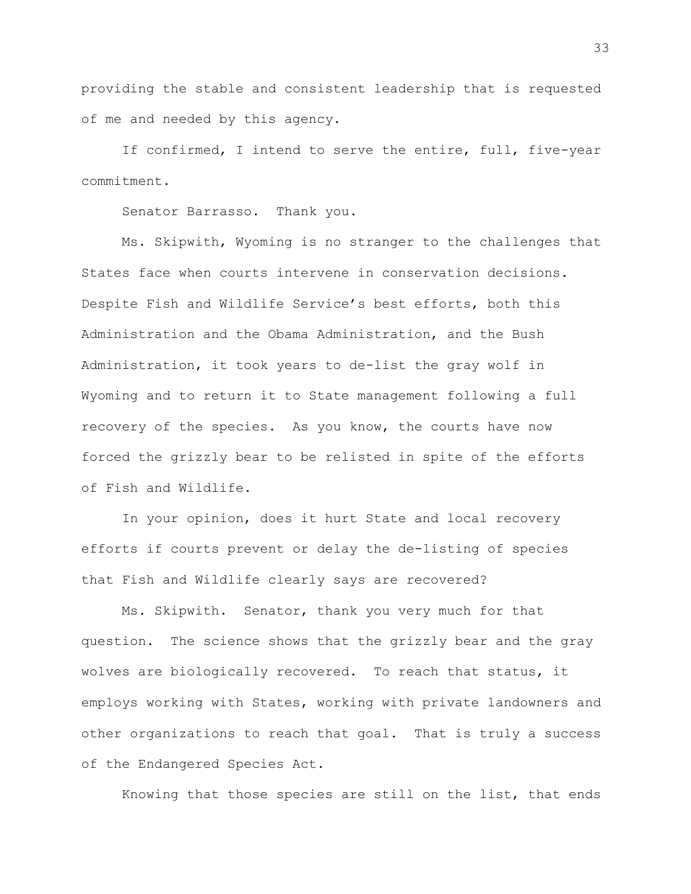providing the stable and consistent leadership that is requested of me and needed by this agency.

If confirmed, I intend to serve the entire, full, five-year commitment.

Senator Barrasso. Thank you.

Ms. Skipwith, Wyoming is no stranger to the challenges that States face when courts intervene in conservation decisions. Despite Fish and Wildlife Service's best efforts, both this Administration and the Obama Administration, and the Bush Administration, it took years to de-list the gray wolf in Wyoming and to return it to State management following a full recovery of the species. As you know, the courts have now forced the grizzly bear to be relisted in spite of the efforts of Fish and Wildlife.

In your opinion, does it hurt State and local recovery efforts if courts prevent or delay the de-listing of species that Fish and Wildlife clearly says are recovered?

Ms. Skipwith. Senator, thank you very much for that question. The science shows that the grizzly bear and the gray wolves are biologically recovered. To reach that status, it employs working with States, working with private landowners and other organizations to reach that goal. That is truly a success of the Endangered Species Act.

Knowing that those species are still on the list, that ends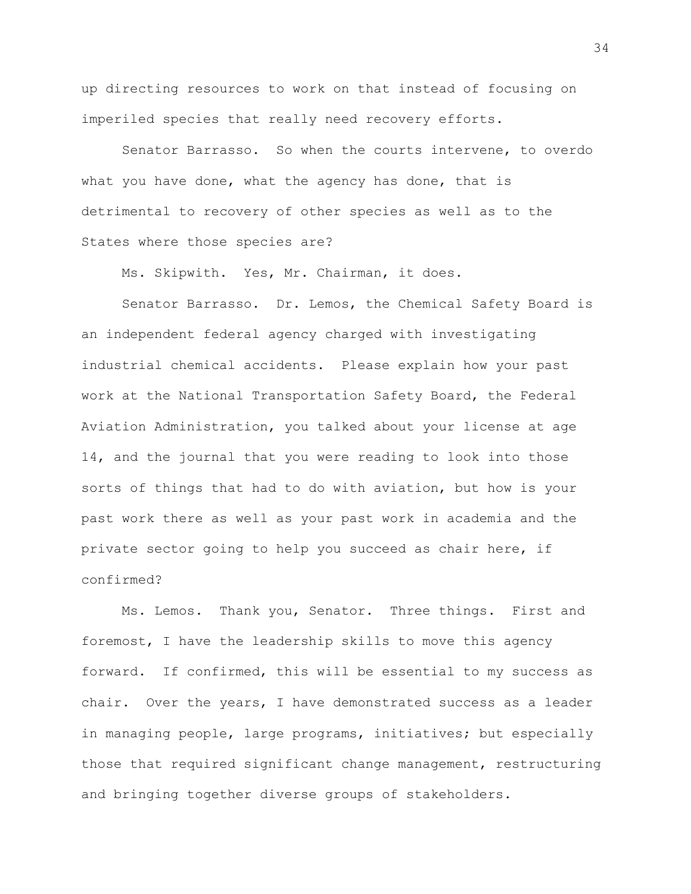up directing resources to work on that instead of focusing on imperiled species that really need recovery efforts.

Senator Barrasso. So when the courts intervene, to overdo what you have done, what the agency has done, that is detrimental to recovery of other species as well as to the States where those species are?

Ms. Skipwith. Yes, Mr. Chairman, it does.

Senator Barrasso. Dr. Lemos, the Chemical Safety Board is an independent federal agency charged with investigating industrial chemical accidents. Please explain how your past work at the National Transportation Safety Board, the Federal Aviation Administration, you talked about your license at age 14, and the journal that you were reading to look into those sorts of things that had to do with aviation, but how is your past work there as well as your past work in academia and the private sector going to help you succeed as chair here, if confirmed?

Ms. Lemos. Thank you, Senator. Three things. First and foremost, I have the leadership skills to move this agency forward. If confirmed, this will be essential to my success as chair. Over the years, I have demonstrated success as a leader in managing people, large programs, initiatives; but especially those that required significant change management, restructuring and bringing together diverse groups of stakeholders.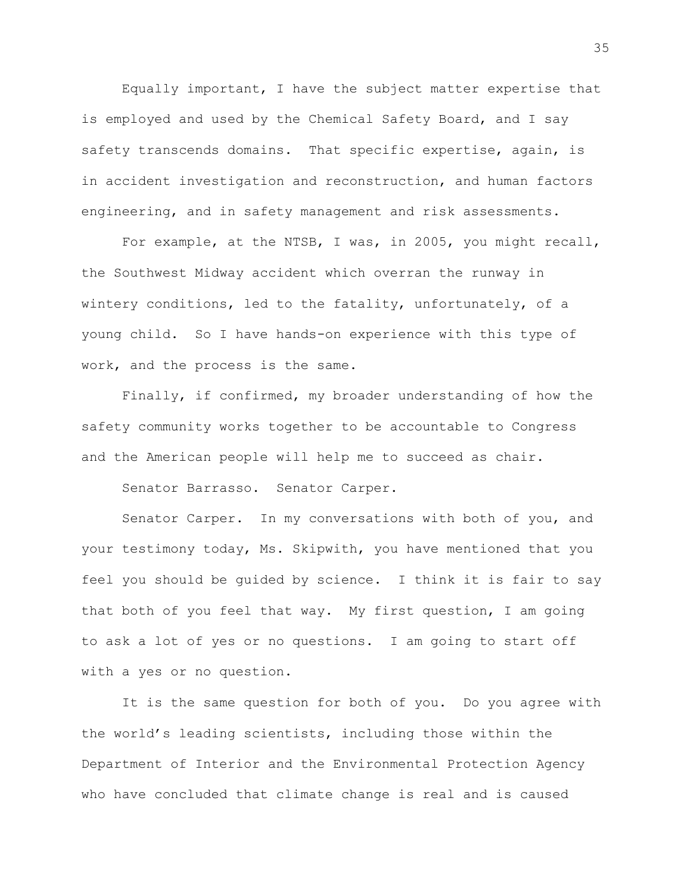Equally important, I have the subject matter expertise that is employed and used by the Chemical Safety Board, and I say safety transcends domains. That specific expertise, again, is in accident investigation and reconstruction, and human factors engineering, and in safety management and risk assessments.

For example, at the NTSB, I was, in 2005, you might recall, the Southwest Midway accident which overran the runway in wintery conditions, led to the fatality, unfortunately, of a young child. So I have hands-on experience with this type of work, and the process is the same.

Finally, if confirmed, my broader understanding of how the safety community works together to be accountable to Congress and the American people will help me to succeed as chair.

Senator Barrasso. Senator Carper.

Senator Carper. In my conversations with both of you, and your testimony today, Ms. Skipwith, you have mentioned that you feel you should be guided by science. I think it is fair to say that both of you feel that way. My first question, I am going to ask a lot of yes or no questions. I am going to start off with a yes or no question.

It is the same question for both of you. Do you agree with the world's leading scientists, including those within the Department of Interior and the Environmental Protection Agency who have concluded that climate change is real and is caused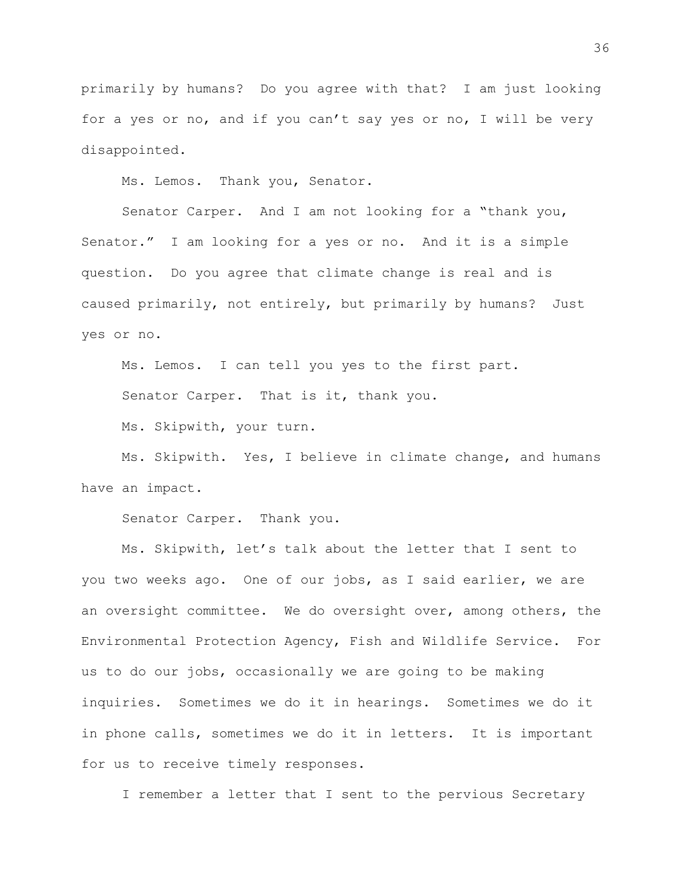primarily by humans? Do you agree with that? I am just looking for a yes or no, and if you can't say yes or no, I will be very disappointed.

Ms. Lemos. Thank you, Senator.

Senator Carper. And I am not looking for a "thank you, Senator." I am looking for a yes or no. And it is a simple question. Do you agree that climate change is real and is caused primarily, not entirely, but primarily by humans? Just yes or no.

Ms. Lemos. I can tell you yes to the first part.

Senator Carper. That is it, thank you.

Ms. Skipwith, your turn.

Ms. Skipwith. Yes, I believe in climate change, and humans have an impact.

Senator Carper. Thank you.

Ms. Skipwith, let's talk about the letter that I sent to you two weeks ago. One of our jobs, as I said earlier, we are an oversight committee. We do oversight over, among others, the Environmental Protection Agency, Fish and Wildlife Service. For us to do our jobs, occasionally we are going to be making inquiries. Sometimes we do it in hearings. Sometimes we do it in phone calls, sometimes we do it in letters. It is important for us to receive timely responses.

I remember a letter that I sent to the pervious Secretary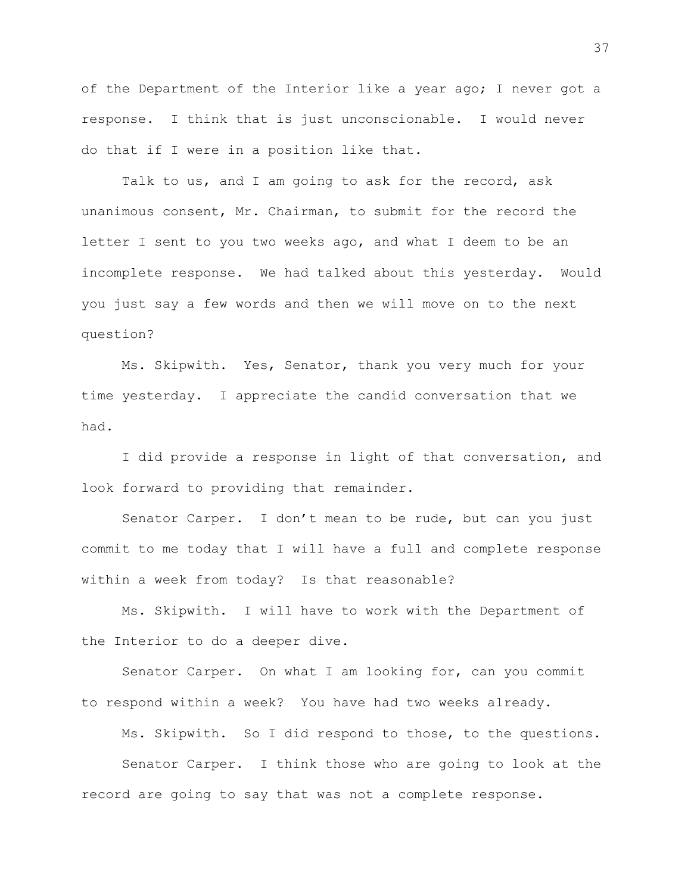of the Department of the Interior like a year ago; I never got a response. I think that is just unconscionable. I would never do that if I were in a position like that.

Talk to us, and I am going to ask for the record, ask unanimous consent, Mr. Chairman, to submit for the record the letter I sent to you two weeks ago, and what I deem to be an incomplete response. We had talked about this yesterday. Would you just say a few words and then we will move on to the next question?

Ms. Skipwith. Yes, Senator, thank you very much for your time yesterday. I appreciate the candid conversation that we had.

I did provide a response in light of that conversation, and look forward to providing that remainder.

Senator Carper. I don't mean to be rude, but can you just commit to me today that I will have a full and complete response within a week from today? Is that reasonable?

Ms. Skipwith. I will have to work with the Department of the Interior to do a deeper dive.

Senator Carper. On what I am looking for, can you commit to respond within a week? You have had two weeks already.

Ms. Skipwith. So I did respond to those, to the questions.

Senator Carper. I think those who are going to look at the record are going to say that was not a complete response.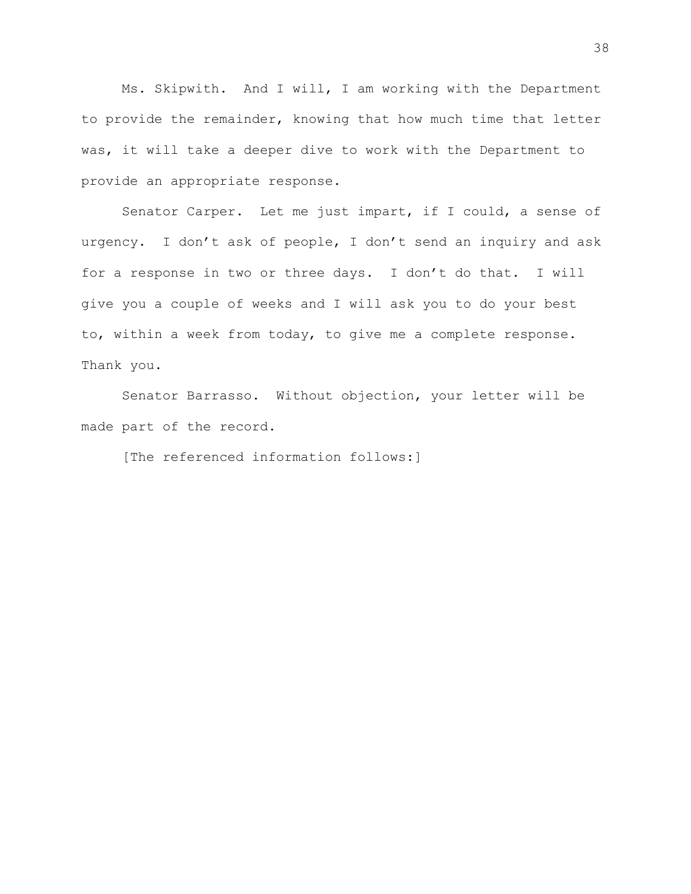Ms. Skipwith. And I will, I am working with the Department to provide the remainder, knowing that how much time that letter was, it will take a deeper dive to work with the Department to provide an appropriate response.

Senator Carper. Let me just impart, if I could, a sense of urgency. I don't ask of people, I don't send an inquiry and ask for a response in two or three days. I don't do that. I will give you a couple of weeks and I will ask you to do your best to, within a week from today, to give me a complete response. Thank you.

Senator Barrasso. Without objection, your letter will be made part of the record.

[The referenced information follows:]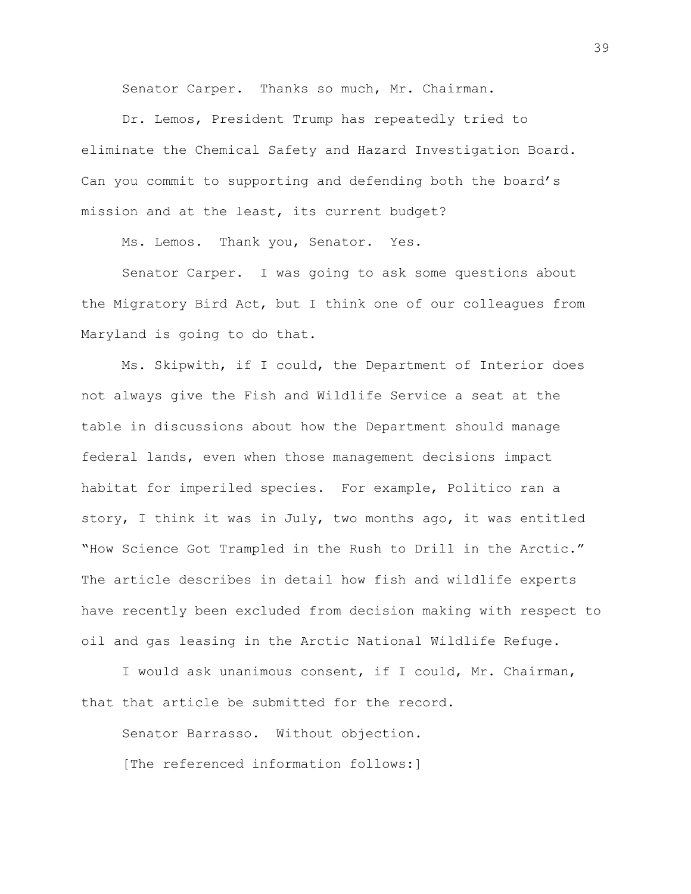Senator Carper. Thanks so much, Mr. Chairman.

Dr. Lemos, President Trump has repeatedly tried to eliminate the Chemical Safety and Hazard Investigation Board. Can you commit to supporting and defending both the board's mission and at the least, its current budget?

Ms. Lemos. Thank you, Senator. Yes.

Senator Carper. I was going to ask some questions about the Migratory Bird Act, but I think one of our colleagues from Maryland is going to do that.

Ms. Skipwith, if I could, the Department of Interior does not always give the Fish and Wildlife Service a seat at the table in discussions about how the Department should manage federal lands, even when those management decisions impact habitat for imperiled species. For example, Politico ran a story, I think it was in July, two months ago, it was entitled "How Science Got Trampled in the Rush to Drill in the Arctic." The article describes in detail how fish and wildlife experts have recently been excluded from decision making with respect to oil and gas leasing in the Arctic National Wildlife Refuge.

I would ask unanimous consent, if I could, Mr. Chairman, that that article be submitted for the record.

Senator Barrasso. Without objection. [The referenced information follows:]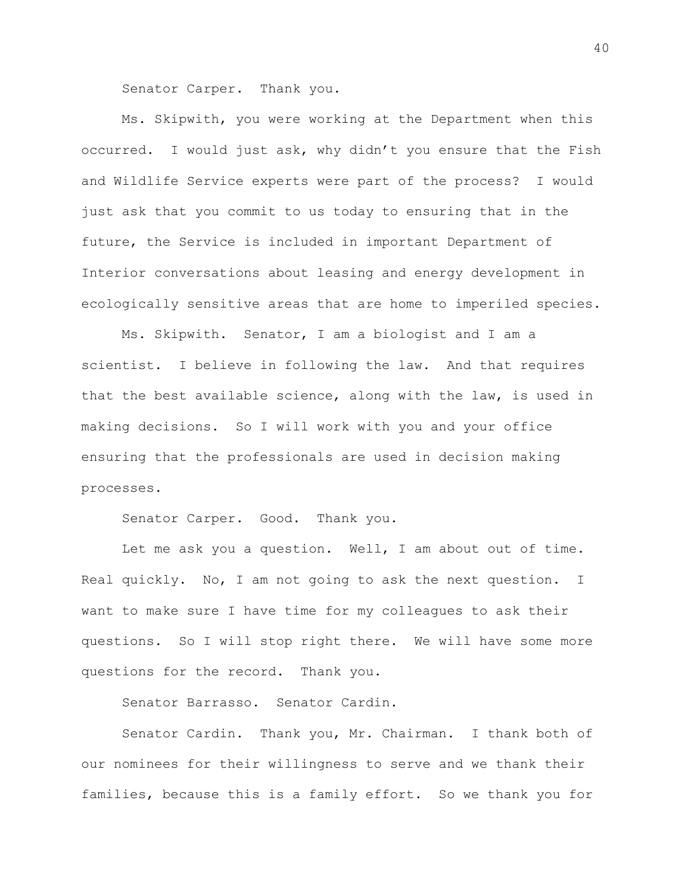Senator Carper. Thank you.

Ms. Skipwith, you were working at the Department when this occurred. I would just ask, why didn't you ensure that the Fish and Wildlife Service experts were part of the process? I would just ask that you commit to us today to ensuring that in the future, the Service is included in important Department of Interior conversations about leasing and energy development in ecologically sensitive areas that are home to imperiled species.

Ms. Skipwith. Senator, I am a biologist and I am a scientist. I believe in following the law. And that requires that the best available science, along with the law, is used in making decisions. So I will work with you and your office ensuring that the professionals are used in decision making processes.

Senator Carper. Good. Thank you.

Let me ask you a question. Well, I am about out of time. Real quickly. No, I am not going to ask the next question. I want to make sure I have time for my colleagues to ask their questions. So I will stop right there. We will have some more questions for the record. Thank you.

Senator Barrasso. Senator Cardin.

Senator Cardin. Thank you, Mr. Chairman. I thank both of our nominees for their willingness to serve and we thank their families, because this is a family effort. So we thank you for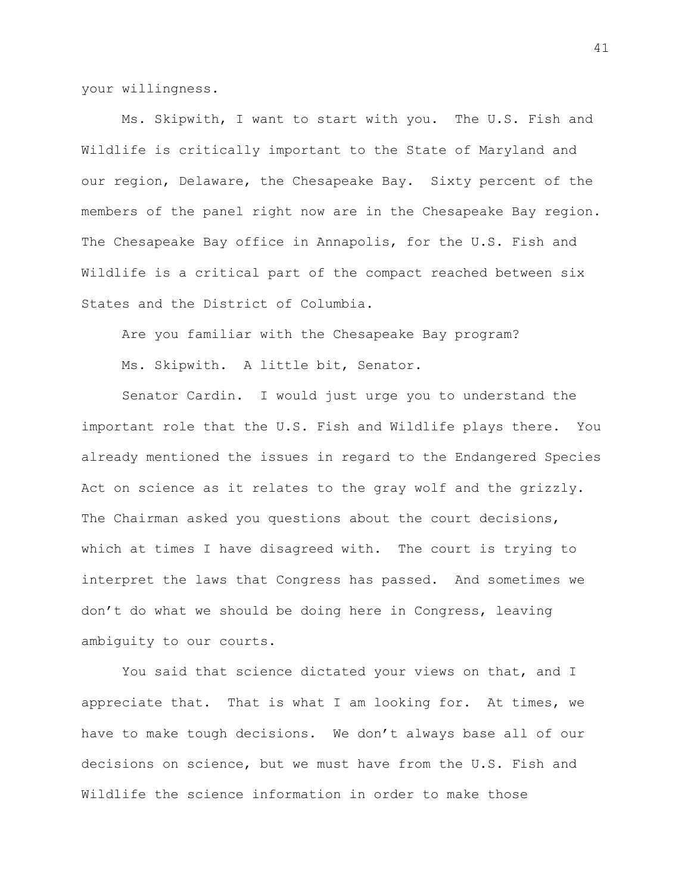your willingness.

Ms. Skipwith, I want to start with you. The U.S. Fish and Wildlife is critically important to the State of Maryland and our region, Delaware, the Chesapeake Bay. Sixty percent of the members of the panel right now are in the Chesapeake Bay region. The Chesapeake Bay office in Annapolis, for the U.S. Fish and Wildlife is a critical part of the compact reached between six States and the District of Columbia.

Are you familiar with the Chesapeake Bay program?

Ms. Skipwith. A little bit, Senator.

Senator Cardin. I would just urge you to understand the important role that the U.S. Fish and Wildlife plays there. You already mentioned the issues in regard to the Endangered Species Act on science as it relates to the gray wolf and the grizzly. The Chairman asked you questions about the court decisions, which at times I have disagreed with. The court is trying to interpret the laws that Congress has passed. And sometimes we don't do what we should be doing here in Congress, leaving ambiguity to our courts.

You said that science dictated your views on that, and I appreciate that. That is what I am looking for. At times, we have to make tough decisions. We don't always base all of our decisions on science, but we must have from the U.S. Fish and Wildlife the science information in order to make those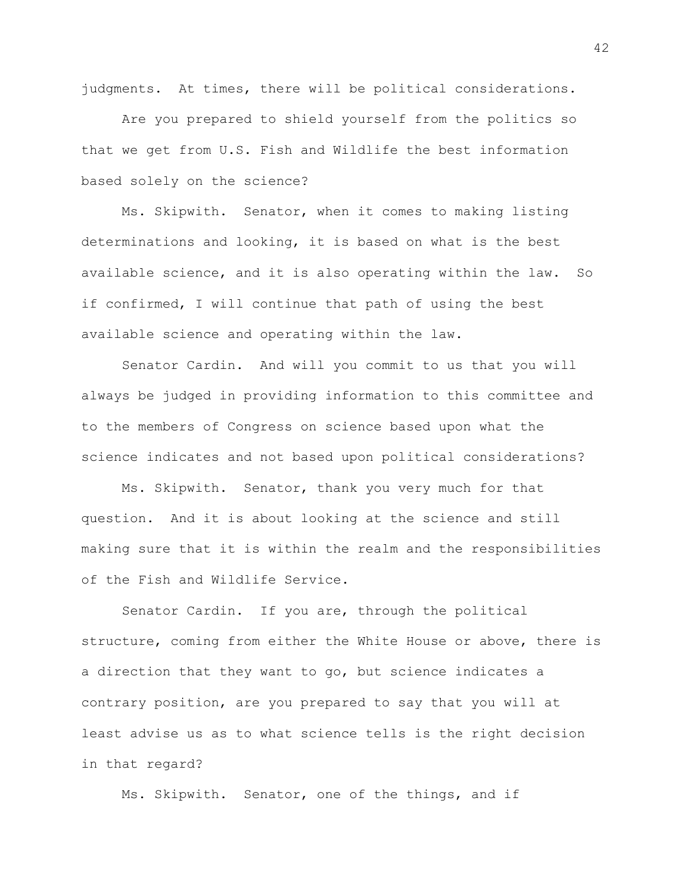judgments. At times, there will be political considerations.

Are you prepared to shield yourself from the politics so that we get from U.S. Fish and Wildlife the best information based solely on the science?

Ms. Skipwith. Senator, when it comes to making listing determinations and looking, it is based on what is the best available science, and it is also operating within the law. So if confirmed, I will continue that path of using the best available science and operating within the law.

Senator Cardin. And will you commit to us that you will always be judged in providing information to this committee and to the members of Congress on science based upon what the science indicates and not based upon political considerations?

Ms. Skipwith. Senator, thank you very much for that question. And it is about looking at the science and still making sure that it is within the realm and the responsibilities of the Fish and Wildlife Service.

Senator Cardin. If you are, through the political structure, coming from either the White House or above, there is a direction that they want to go, but science indicates a contrary position, are you prepared to say that you will at least advise us as to what science tells is the right decision in that regard?

Ms. Skipwith. Senator, one of the things, and if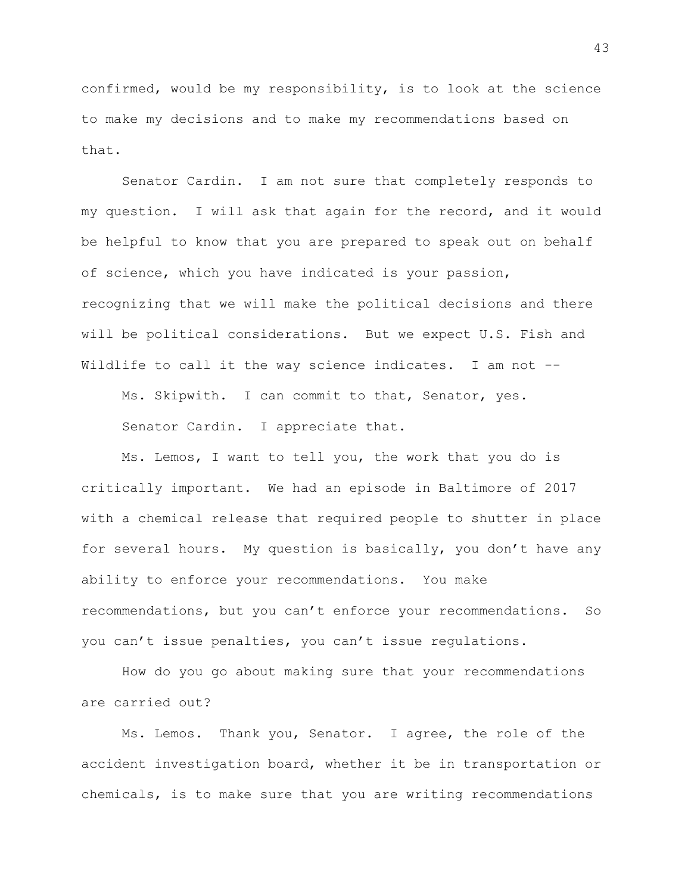confirmed, would be my responsibility, is to look at the science to make my decisions and to make my recommendations based on that.

Senator Cardin. I am not sure that completely responds to my question. I will ask that again for the record, and it would be helpful to know that you are prepared to speak out on behalf of science, which you have indicated is your passion, recognizing that we will make the political decisions and there will be political considerations. But we expect U.S. Fish and Wildlife to call it the way science indicates. I am not --

Ms. Skipwith. I can commit to that, Senator, yes. Senator Cardin. I appreciate that.

Ms. Lemos, I want to tell you, the work that you do is critically important. We had an episode in Baltimore of 2017 with a chemical release that required people to shutter in place for several hours. My question is basically, you don't have any ability to enforce your recommendations. You make recommendations, but you can't enforce your recommendations. So you can't issue penalties, you can't issue regulations.

How do you go about making sure that your recommendations are carried out?

Ms. Lemos. Thank you, Senator. I agree, the role of the accident investigation board, whether it be in transportation or chemicals, is to make sure that you are writing recommendations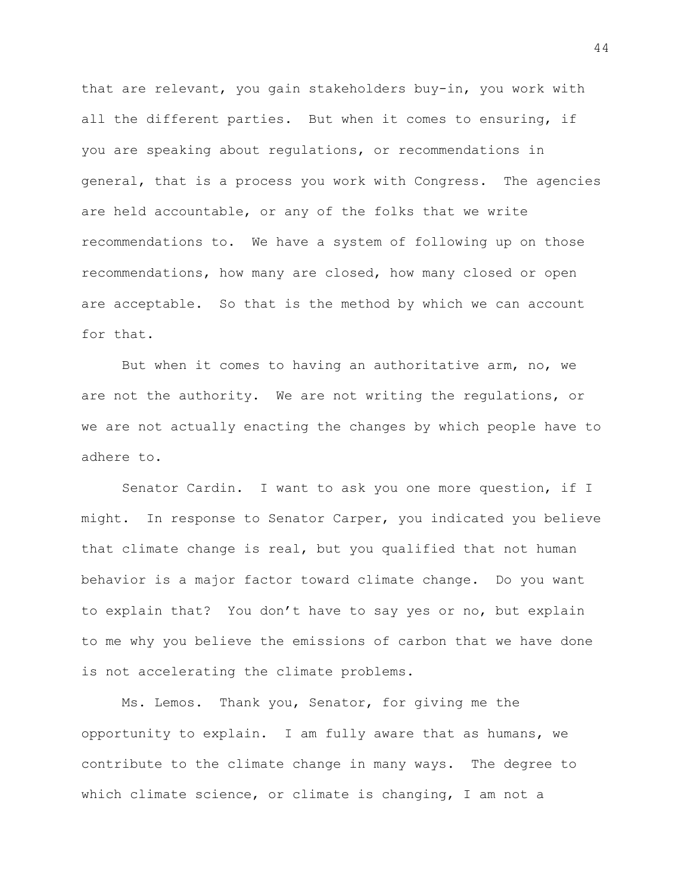that are relevant, you gain stakeholders buy-in, you work with all the different parties. But when it comes to ensuring, if you are speaking about regulations, or recommendations in general, that is a process you work with Congress. The agencies are held accountable, or any of the folks that we write recommendations to. We have a system of following up on those recommendations, how many are closed, how many closed or open are acceptable. So that is the method by which we can account for that.

But when it comes to having an authoritative arm, no, we are not the authority. We are not writing the regulations, or we are not actually enacting the changes by which people have to adhere to.

Senator Cardin. I want to ask you one more question, if I might. In response to Senator Carper, you indicated you believe that climate change is real, but you qualified that not human behavior is a major factor toward climate change. Do you want to explain that? You don't have to say yes or no, but explain to me why you believe the emissions of carbon that we have done is not accelerating the climate problems.

Ms. Lemos. Thank you, Senator, for giving me the opportunity to explain. I am fully aware that as humans, we contribute to the climate change in many ways. The degree to which climate science, or climate is changing, I am not a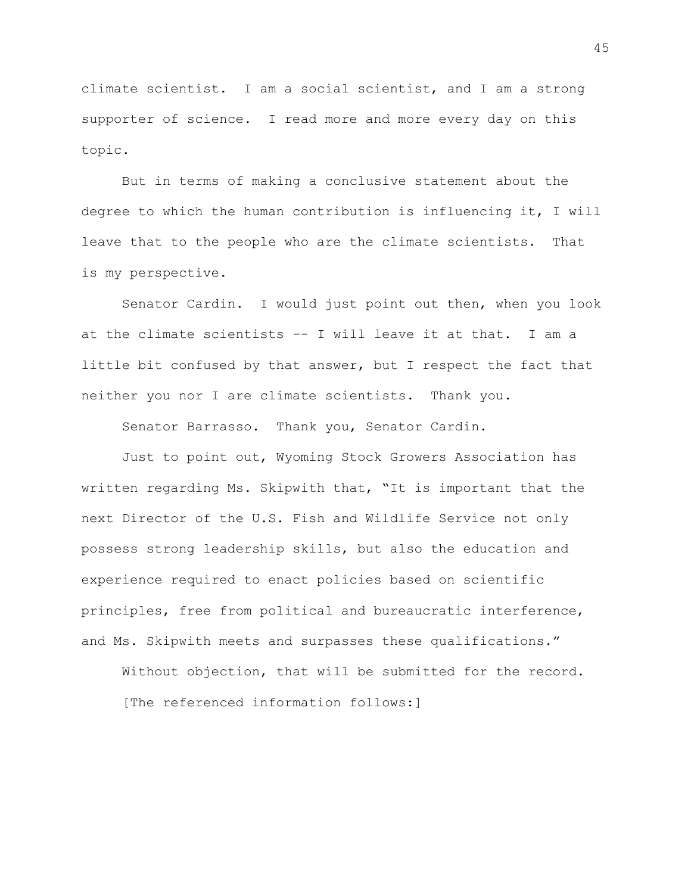climate scientist. I am a social scientist, and I am a strong supporter of science. I read more and more every day on this topic.

But in terms of making a conclusive statement about the degree to which the human contribution is influencing it, I will leave that to the people who are the climate scientists. That is my perspective.

Senator Cardin. I would just point out then, when you look at the climate scientists -- I will leave it at that. I am a little bit confused by that answer, but I respect the fact that neither you nor I are climate scientists. Thank you.

Senator Barrasso. Thank you, Senator Cardin.

Just to point out, Wyoming Stock Growers Association has written regarding Ms. Skipwith that, "It is important that the next Director of the U.S. Fish and Wildlife Service not only possess strong leadership skills, but also the education and experience required to enact policies based on scientific principles, free from political and bureaucratic interference, and Ms. Skipwith meets and surpasses these qualifications."

Without objection, that will be submitted for the record. [The referenced information follows:]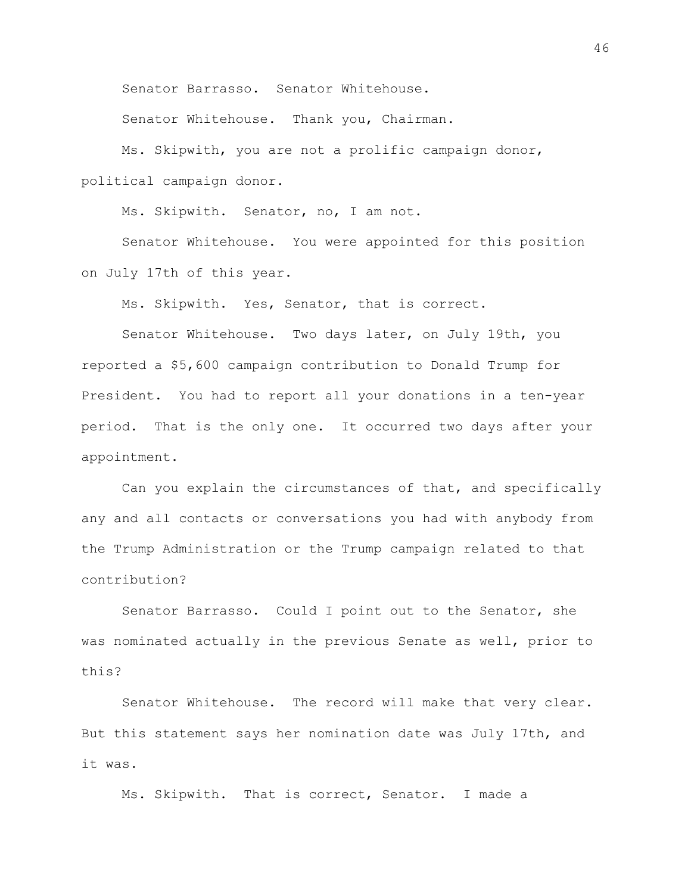Senator Barrasso. Senator Whitehouse.

Senator Whitehouse. Thank you, Chairman.

Ms. Skipwith, you are not a prolific campaign donor, political campaign donor.

Ms. Skipwith. Senator, no, I am not.

Senator Whitehouse. You were appointed for this position on July 17th of this year.

Ms. Skipwith. Yes, Senator, that is correct.

Senator Whitehouse. Two days later, on July 19th, you reported a \$5,600 campaign contribution to Donald Trump for President. You had to report all your donations in a ten-year period. That is the only one. It occurred two days after your appointment.

Can you explain the circumstances of that, and specifically any and all contacts or conversations you had with anybody from the Trump Administration or the Trump campaign related to that contribution?

Senator Barrasso. Could I point out to the Senator, she was nominated actually in the previous Senate as well, prior to this?

Senator Whitehouse. The record will make that very clear. But this statement says her nomination date was July 17th, and it was.

Ms. Skipwith. That is correct, Senator. I made a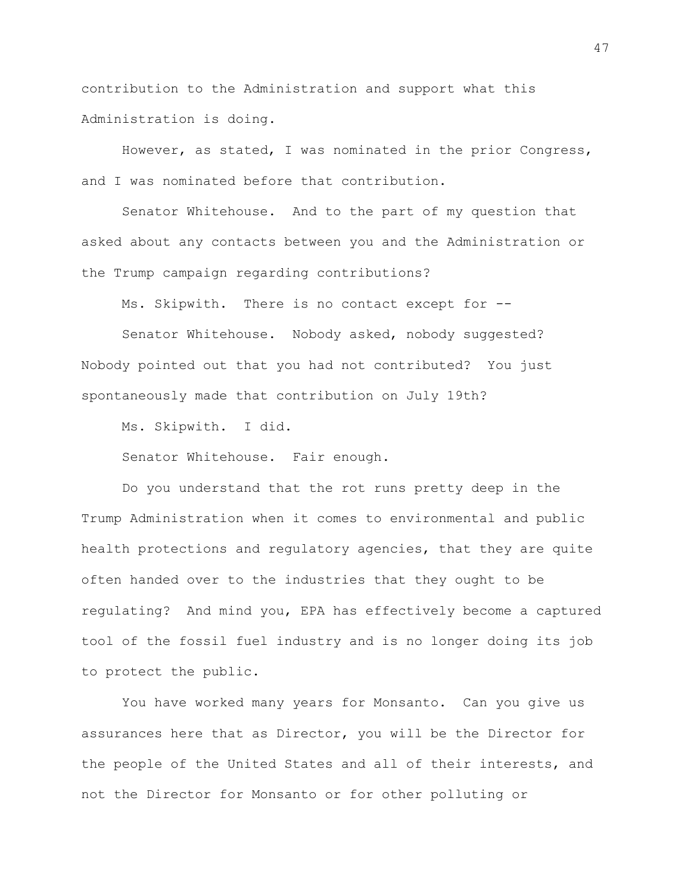contribution to the Administration and support what this Administration is doing.

However, as stated, I was nominated in the prior Congress, and I was nominated before that contribution.

Senator Whitehouse. And to the part of my question that asked about any contacts between you and the Administration or the Trump campaign regarding contributions?

Ms. Skipwith. There is no contact except for --

Senator Whitehouse. Nobody asked, nobody suggested? Nobody pointed out that you had not contributed? You just spontaneously made that contribution on July 19th?

Ms. Skipwith. I did.

Senator Whitehouse. Fair enough.

Do you understand that the rot runs pretty deep in the Trump Administration when it comes to environmental and public health protections and regulatory agencies, that they are quite often handed over to the industries that they ought to be regulating? And mind you, EPA has effectively become a captured tool of the fossil fuel industry and is no longer doing its job to protect the public.

You have worked many years for Monsanto. Can you give us assurances here that as Director, you will be the Director for the people of the United States and all of their interests, and not the Director for Monsanto or for other polluting or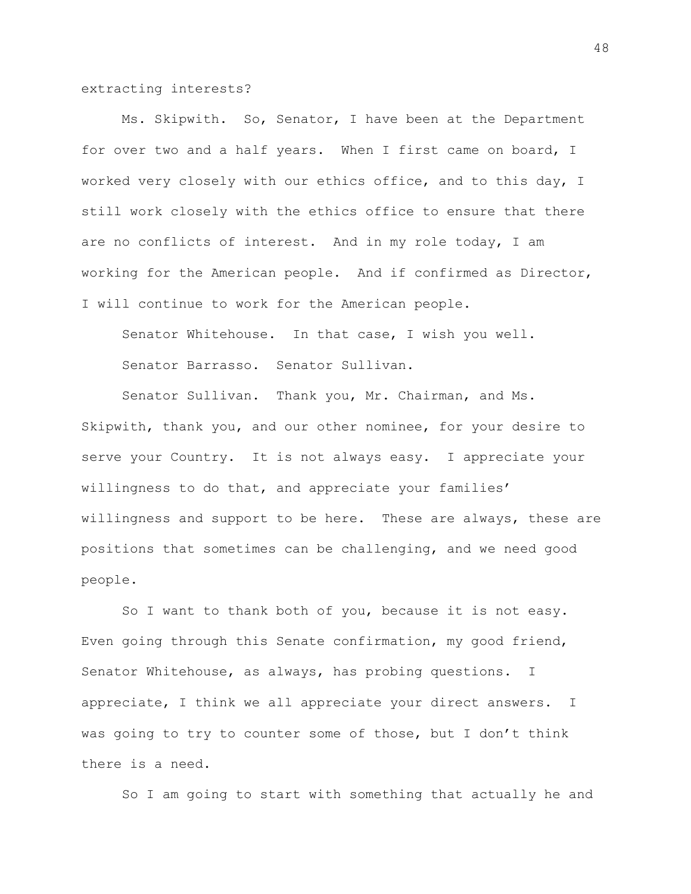extracting interests?

Ms. Skipwith. So, Senator, I have been at the Department for over two and a half years. When I first came on board, I worked very closely with our ethics office, and to this day, I still work closely with the ethics office to ensure that there are no conflicts of interest. And in my role today, I am working for the American people. And if confirmed as Director, I will continue to work for the American people.

Senator Whitehouse. In that case, I wish you well.

Senator Barrasso. Senator Sullivan.

Senator Sullivan. Thank you, Mr. Chairman, and Ms. Skipwith, thank you, and our other nominee, for your desire to serve your Country. It is not always easy. I appreciate your willingness to do that, and appreciate your families' willingness and support to be here. These are always, these are positions that sometimes can be challenging, and we need good people.

So I want to thank both of you, because it is not easy. Even going through this Senate confirmation, my good friend, Senator Whitehouse, as always, has probing questions. I appreciate, I think we all appreciate your direct answers. I was going to try to counter some of those, but I don't think there is a need.

So I am going to start with something that actually he and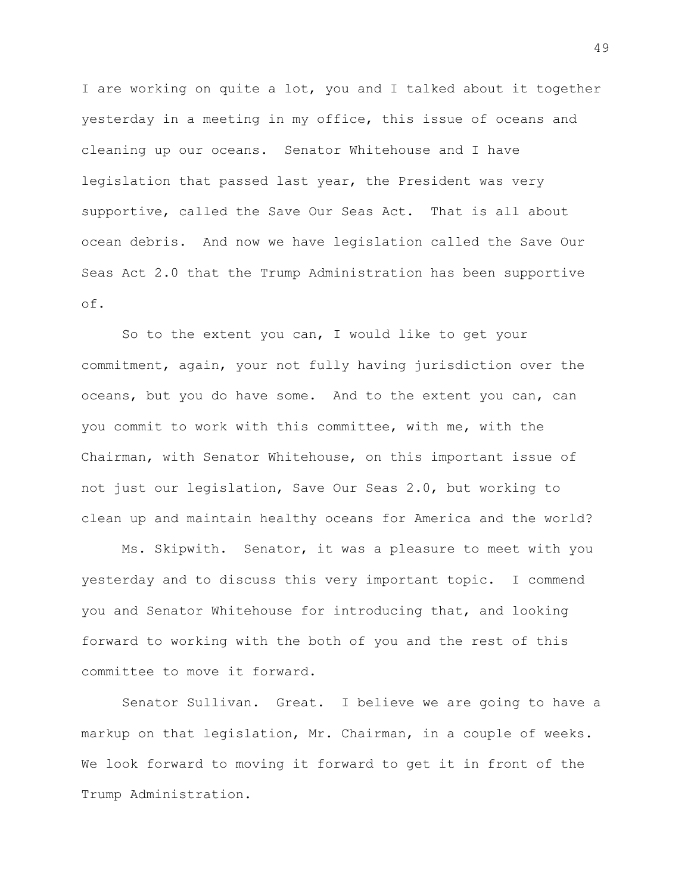I are working on quite a lot, you and I talked about it together yesterday in a meeting in my office, this issue of oceans and cleaning up our oceans. Senator Whitehouse and I have legislation that passed last year, the President was very supportive, called the Save Our Seas Act. That is all about ocean debris. And now we have legislation called the Save Our Seas Act 2.0 that the Trump Administration has been supportive of.

So to the extent you can, I would like to get your commitment, again, your not fully having jurisdiction over the oceans, but you do have some. And to the extent you can, can you commit to work with this committee, with me, with the Chairman, with Senator Whitehouse, on this important issue of not just our legislation, Save Our Seas 2.0, but working to clean up and maintain healthy oceans for America and the world?

Ms. Skipwith. Senator, it was a pleasure to meet with you yesterday and to discuss this very important topic. I commend you and Senator Whitehouse for introducing that, and looking forward to working with the both of you and the rest of this committee to move it forward.

Senator Sullivan. Great. I believe we are going to have a markup on that legislation, Mr. Chairman, in a couple of weeks. We look forward to moving it forward to get it in front of the Trump Administration.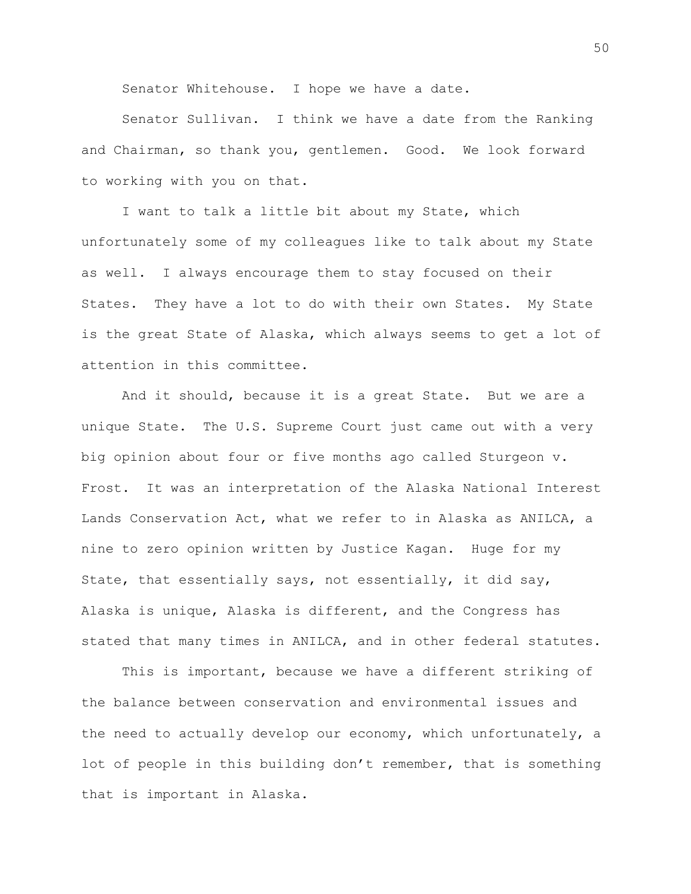Senator Whitehouse. I hope we have a date.

Senator Sullivan. I think we have a date from the Ranking and Chairman, so thank you, gentlemen. Good. We look forward to working with you on that.

I want to talk a little bit about my State, which unfortunately some of my colleagues like to talk about my State as well. I always encourage them to stay focused on their States. They have a lot to do with their own States. My State is the great State of Alaska, which always seems to get a lot of attention in this committee.

And it should, because it is a great State. But we are a unique State. The U.S. Supreme Court just came out with a very big opinion about four or five months ago called Sturgeon v. Frost. It was an interpretation of the Alaska National Interest Lands Conservation Act, what we refer to in Alaska as ANILCA, a nine to zero opinion written by Justice Kagan. Huge for my State, that essentially says, not essentially, it did say, Alaska is unique, Alaska is different, and the Congress has stated that many times in ANILCA, and in other federal statutes.

This is important, because we have a different striking of the balance between conservation and environmental issues and the need to actually develop our economy, which unfortunately, a lot of people in this building don't remember, that is something that is important in Alaska.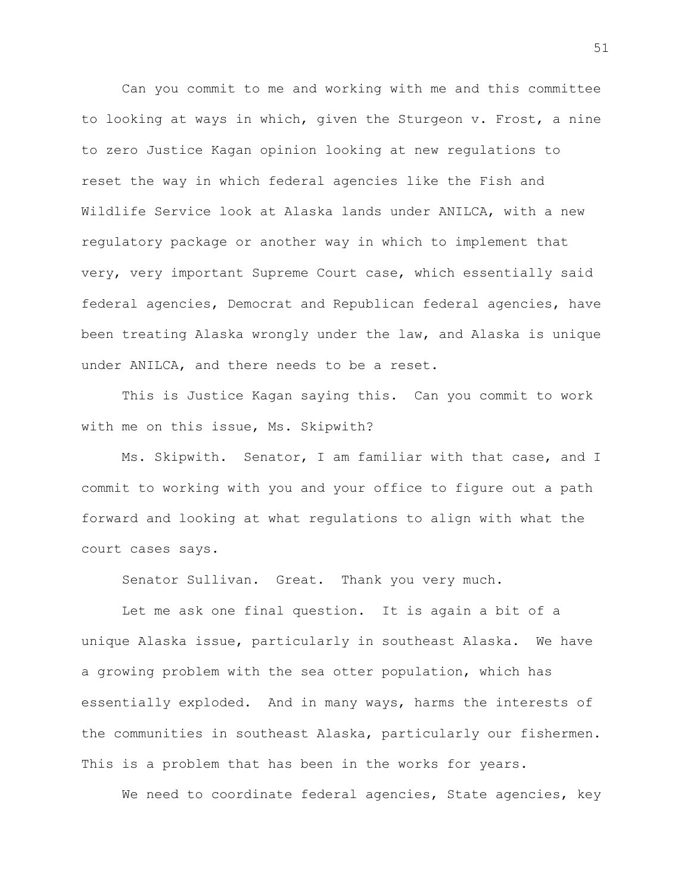Can you commit to me and working with me and this committee to looking at ways in which, given the Sturgeon v. Frost, a nine to zero Justice Kagan opinion looking at new regulations to reset the way in which federal agencies like the Fish and Wildlife Service look at Alaska lands under ANILCA, with a new regulatory package or another way in which to implement that very, very important Supreme Court case, which essentially said federal agencies, Democrat and Republican federal agencies, have been treating Alaska wrongly under the law, and Alaska is unique under ANILCA, and there needs to be a reset.

This is Justice Kagan saying this. Can you commit to work with me on this issue, Ms. Skipwith?

Ms. Skipwith. Senator, I am familiar with that case, and I commit to working with you and your office to figure out a path forward and looking at what regulations to align with what the court cases says.

Senator Sullivan. Great. Thank you very much.

Let me ask one final question. It is again a bit of a unique Alaska issue, particularly in southeast Alaska. We have a growing problem with the sea otter population, which has essentially exploded. And in many ways, harms the interests of the communities in southeast Alaska, particularly our fishermen. This is a problem that has been in the works for years.

We need to coordinate federal agencies, State agencies, key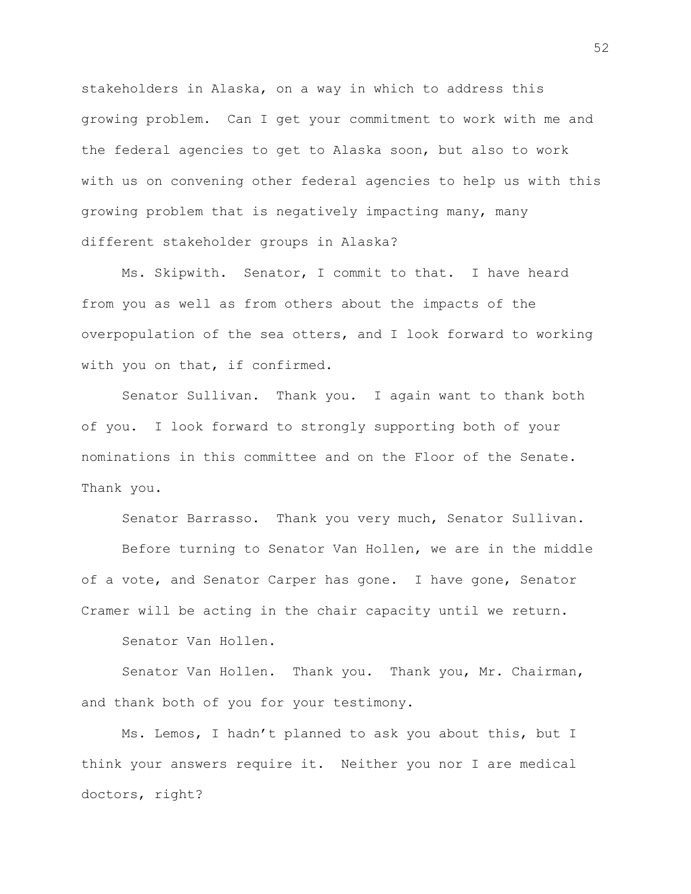stakeholders in Alaska, on a way in which to address this growing problem. Can I get your commitment to work with me and the federal agencies to get to Alaska soon, but also to work with us on convening other federal agencies to help us with this growing problem that is negatively impacting many, many different stakeholder groups in Alaska?

Ms. Skipwith. Senator, I commit to that. I have heard from you as well as from others about the impacts of the overpopulation of the sea otters, and I look forward to working with you on that, if confirmed.

Senator Sullivan. Thank you. I again want to thank both of you. I look forward to strongly supporting both of your nominations in this committee and on the Floor of the Senate. Thank you.

Senator Barrasso. Thank you very much, Senator Sullivan.

Before turning to Senator Van Hollen, we are in the middle of a vote, and Senator Carper has gone. I have gone, Senator Cramer will be acting in the chair capacity until we return.

Senator Van Hollen.

Senator Van Hollen. Thank you. Thank you, Mr. Chairman, and thank both of you for your testimony.

Ms. Lemos, I hadn't planned to ask you about this, but I think your answers require it. Neither you nor I are medical doctors, right?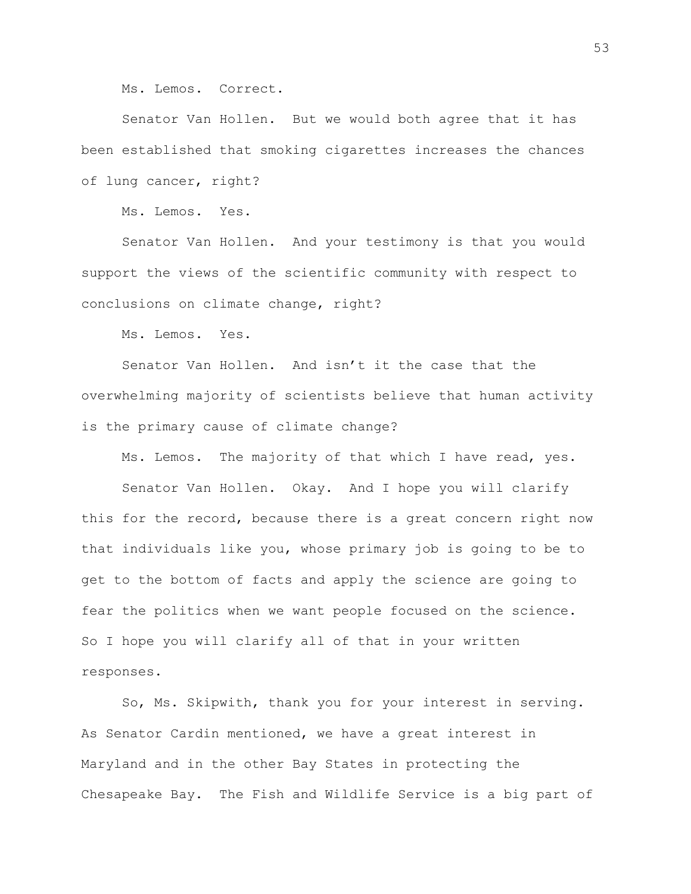Ms. Lemos. Correct.

Senator Van Hollen. But we would both agree that it has been established that smoking cigarettes increases the chances of lung cancer, right?

Ms. Lemos. Yes.

Senator Van Hollen. And your testimony is that you would support the views of the scientific community with respect to conclusions on climate change, right?

Ms. Lemos. Yes.

Senator Van Hollen. And isn't it the case that the overwhelming majority of scientists believe that human activity is the primary cause of climate change?

Ms. Lemos. The majority of that which I have read, yes.

Senator Van Hollen. Okay. And I hope you will clarify this for the record, because there is a great concern right now that individuals like you, whose primary job is going to be to get to the bottom of facts and apply the science are going to fear the politics when we want people focused on the science. So I hope you will clarify all of that in your written responses.

So, Ms. Skipwith, thank you for your interest in serving. As Senator Cardin mentioned, we have a great interest in Maryland and in the other Bay States in protecting the Chesapeake Bay. The Fish and Wildlife Service is a big part of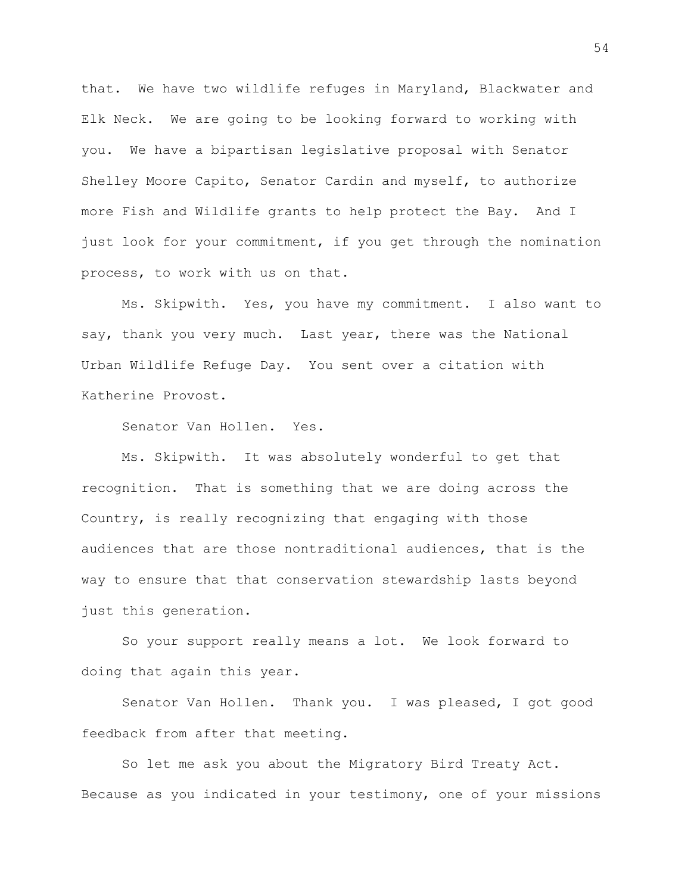that. We have two wildlife refuges in Maryland, Blackwater and Elk Neck. We are going to be looking forward to working with you. We have a bipartisan legislative proposal with Senator Shelley Moore Capito, Senator Cardin and myself, to authorize more Fish and Wildlife grants to help protect the Bay. And I just look for your commitment, if you get through the nomination process, to work with us on that.

Ms. Skipwith. Yes, you have my commitment. I also want to say, thank you very much. Last year, there was the National Urban Wildlife Refuge Day. You sent over a citation with Katherine Provost.

Senator Van Hollen. Yes.

Ms. Skipwith. It was absolutely wonderful to get that recognition. That is something that we are doing across the Country, is really recognizing that engaging with those audiences that are those nontraditional audiences, that is the way to ensure that that conservation stewardship lasts beyond just this generation.

So your support really means a lot. We look forward to doing that again this year.

Senator Van Hollen. Thank you. I was pleased, I got good feedback from after that meeting.

So let me ask you about the Migratory Bird Treaty Act. Because as you indicated in your testimony, one of your missions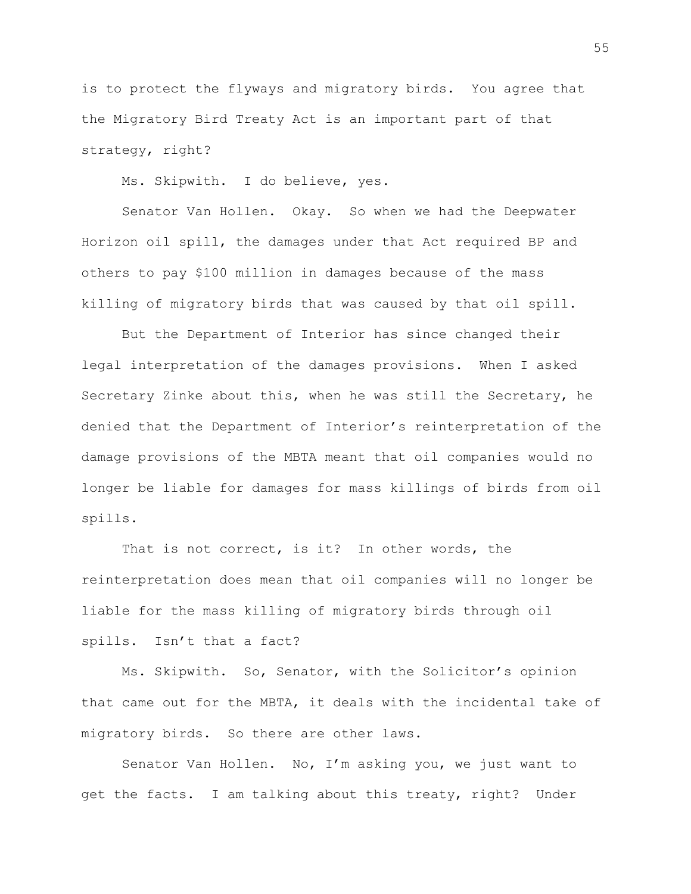is to protect the flyways and migratory birds. You agree that the Migratory Bird Treaty Act is an important part of that strategy, right?

Ms. Skipwith. I do believe, yes.

Senator Van Hollen. Okay. So when we had the Deepwater Horizon oil spill, the damages under that Act required BP and others to pay \$100 million in damages because of the mass killing of migratory birds that was caused by that oil spill.

But the Department of Interior has since changed their legal interpretation of the damages provisions. When I asked Secretary Zinke about this, when he was still the Secretary, he denied that the Department of Interior's reinterpretation of the damage provisions of the MBTA meant that oil companies would no longer be liable for damages for mass killings of birds from oil spills.

That is not correct, is it? In other words, the reinterpretation does mean that oil companies will no longer be liable for the mass killing of migratory birds through oil spills. Isn't that a fact?

Ms. Skipwith. So, Senator, with the Solicitor's opinion that came out for the MBTA, it deals with the incidental take of migratory birds. So there are other laws.

Senator Van Hollen. No, I'm asking you, we just want to get the facts. I am talking about this treaty, right? Under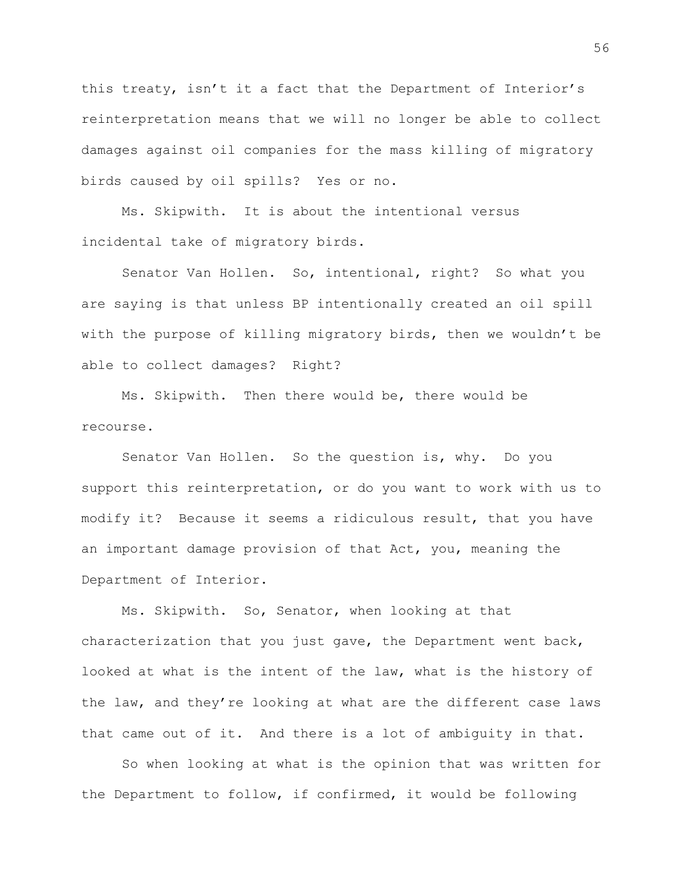this treaty, isn't it a fact that the Department of Interior's reinterpretation means that we will no longer be able to collect damages against oil companies for the mass killing of migratory birds caused by oil spills? Yes or no.

Ms. Skipwith. It is about the intentional versus incidental take of migratory birds.

Senator Van Hollen. So, intentional, right? So what you are saying is that unless BP intentionally created an oil spill with the purpose of killing migratory birds, then we wouldn't be able to collect damages? Right?

Ms. Skipwith. Then there would be, there would be recourse.

Senator Van Hollen. So the question is, why. Do you support this reinterpretation, or do you want to work with us to modify it? Because it seems a ridiculous result, that you have an important damage provision of that Act, you, meaning the Department of Interior.

Ms. Skipwith. So, Senator, when looking at that characterization that you just gave, the Department went back, looked at what is the intent of the law, what is the history of the law, and they're looking at what are the different case laws that came out of it. And there is a lot of ambiguity in that.

So when looking at what is the opinion that was written for the Department to follow, if confirmed, it would be following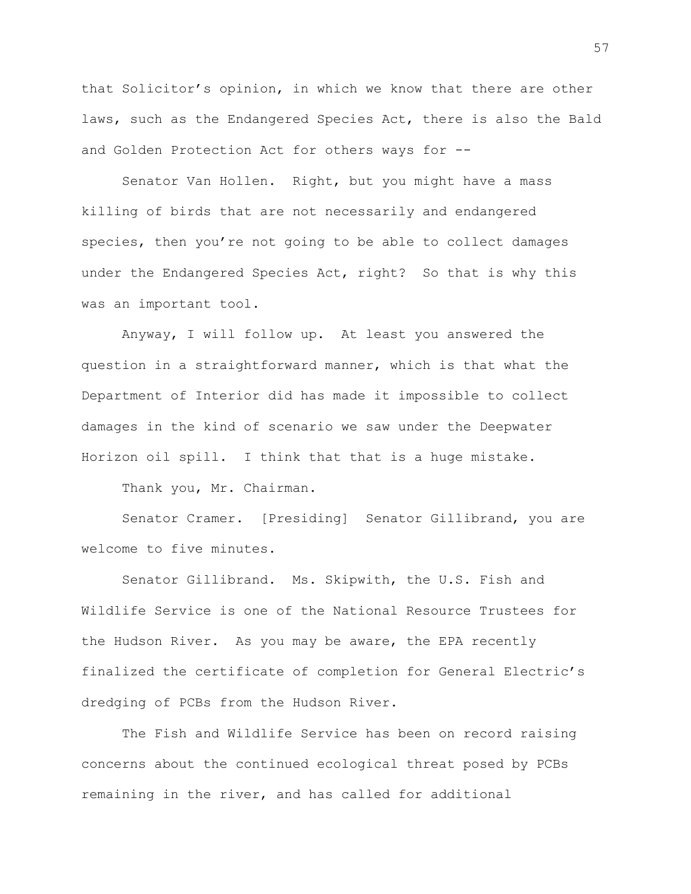that Solicitor's opinion, in which we know that there are other laws, such as the Endangered Species Act, there is also the Bald and Golden Protection Act for others ways for --

Senator Van Hollen. Right, but you might have a mass killing of birds that are not necessarily and endangered species, then you're not going to be able to collect damages under the Endangered Species Act, right? So that is why this was an important tool.

Anyway, I will follow up. At least you answered the question in a straightforward manner, which is that what the Department of Interior did has made it impossible to collect damages in the kind of scenario we saw under the Deepwater Horizon oil spill. I think that that is a huge mistake.

Thank you, Mr. Chairman.

Senator Cramer. [Presiding] Senator Gillibrand, you are welcome to five minutes.

Senator Gillibrand. Ms. Skipwith, the U.S. Fish and Wildlife Service is one of the National Resource Trustees for the Hudson River. As you may be aware, the EPA recently finalized the certificate of completion for General Electric's dredging of PCBs from the Hudson River.

The Fish and Wildlife Service has been on record raising concerns about the continued ecological threat posed by PCBs remaining in the river, and has called for additional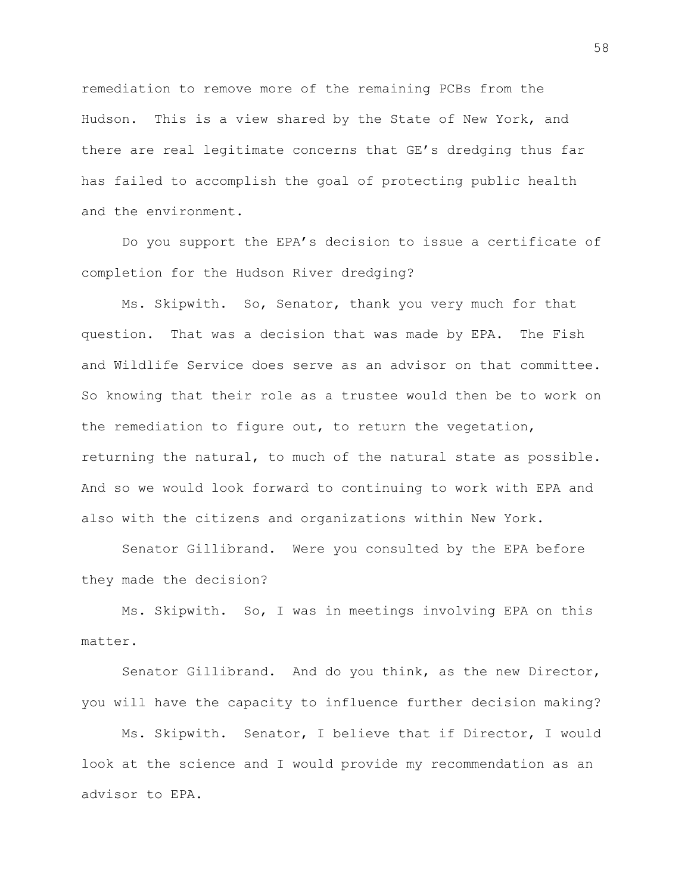remediation to remove more of the remaining PCBs from the Hudson. This is a view shared by the State of New York, and there are real legitimate concerns that GE's dredging thus far has failed to accomplish the goal of protecting public health and the environment.

Do you support the EPA's decision to issue a certificate of completion for the Hudson River dredging?

Ms. Skipwith. So, Senator, thank you very much for that question. That was a decision that was made by EPA. The Fish and Wildlife Service does serve as an advisor on that committee. So knowing that their role as a trustee would then be to work on the remediation to figure out, to return the vegetation, returning the natural, to much of the natural state as possible. And so we would look forward to continuing to work with EPA and also with the citizens and organizations within New York.

Senator Gillibrand. Were you consulted by the EPA before they made the decision?

Ms. Skipwith. So, I was in meetings involving EPA on this matter.

Senator Gillibrand. And do you think, as the new Director, you will have the capacity to influence further decision making?

Ms. Skipwith. Senator, I believe that if Director, I would look at the science and I would provide my recommendation as an advisor to EPA.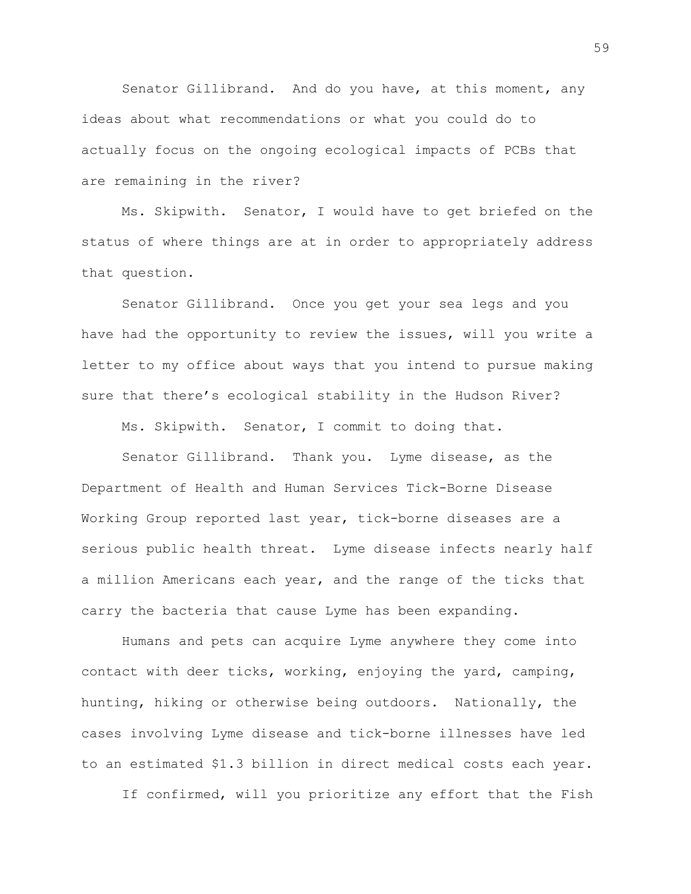Senator Gillibrand. And do you have, at this moment, any ideas about what recommendations or what you could do to actually focus on the ongoing ecological impacts of PCBs that are remaining in the river?

Ms. Skipwith. Senator, I would have to get briefed on the status of where things are at in order to appropriately address that question.

Senator Gillibrand. Once you get your sea legs and you have had the opportunity to review the issues, will you write a letter to my office about ways that you intend to pursue making sure that there's ecological stability in the Hudson River?

Ms. Skipwith. Senator, I commit to doing that.

Senator Gillibrand. Thank you. Lyme disease, as the Department of Health and Human Services Tick-Borne Disease Working Group reported last year, tick-borne diseases are a serious public health threat. Lyme disease infects nearly half a million Americans each year, and the range of the ticks that carry the bacteria that cause Lyme has been expanding.

Humans and pets can acquire Lyme anywhere they come into contact with deer ticks, working, enjoying the yard, camping, hunting, hiking or otherwise being outdoors. Nationally, the cases involving Lyme disease and tick-borne illnesses have led to an estimated \$1.3 billion in direct medical costs each year.

If confirmed, will you prioritize any effort that the Fish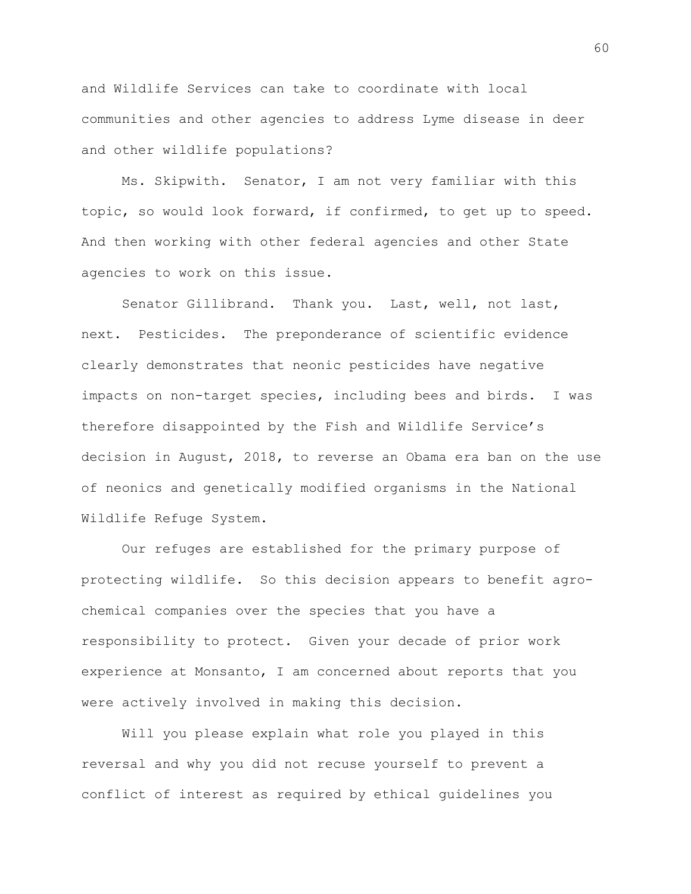and Wildlife Services can take to coordinate with local communities and other agencies to address Lyme disease in deer and other wildlife populations?

Ms. Skipwith. Senator, I am not very familiar with this topic, so would look forward, if confirmed, to get up to speed. And then working with other federal agencies and other State agencies to work on this issue.

Senator Gillibrand. Thank you. Last, well, not last, next. Pesticides. The preponderance of scientific evidence clearly demonstrates that neonic pesticides have negative impacts on non-target species, including bees and birds. I was therefore disappointed by the Fish and Wildlife Service's decision in August, 2018, to reverse an Obama era ban on the use of neonics and genetically modified organisms in the National Wildlife Refuge System.

Our refuges are established for the primary purpose of protecting wildlife. So this decision appears to benefit agrochemical companies over the species that you have a responsibility to protect. Given your decade of prior work experience at Monsanto, I am concerned about reports that you were actively involved in making this decision.

Will you please explain what role you played in this reversal and why you did not recuse yourself to prevent a conflict of interest as required by ethical guidelines you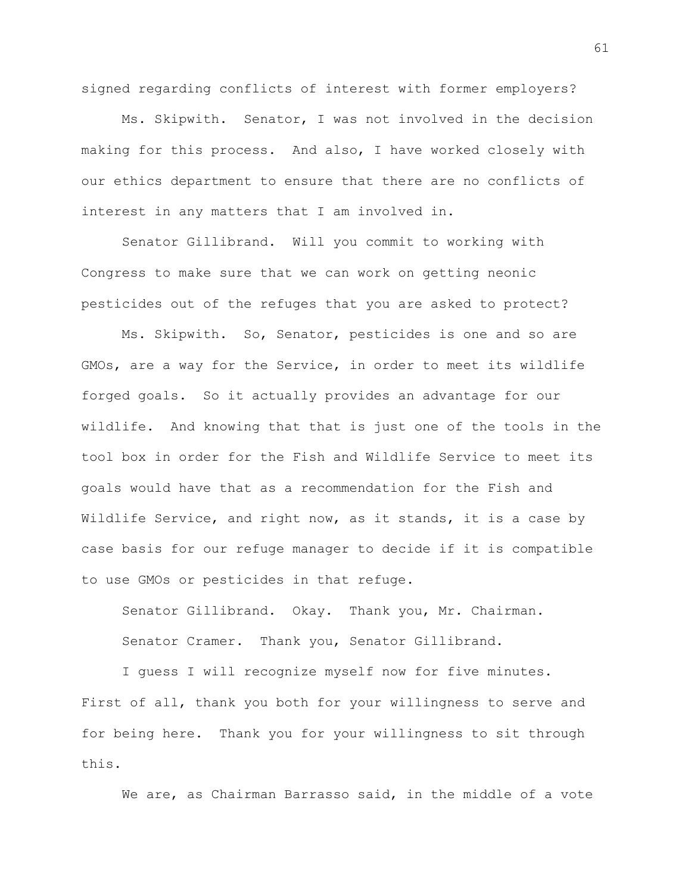signed regarding conflicts of interest with former employers?

Ms. Skipwith. Senator, I was not involved in the decision making for this process. And also, I have worked closely with our ethics department to ensure that there are no conflicts of interest in any matters that I am involved in.

Senator Gillibrand. Will you commit to working with Congress to make sure that we can work on getting neonic pesticides out of the refuges that you are asked to protect?

Ms. Skipwith. So, Senator, pesticides is one and so are GMOs, are a way for the Service, in order to meet its wildlife forged goals. So it actually provides an advantage for our wildlife. And knowing that that is just one of the tools in the tool box in order for the Fish and Wildlife Service to meet its goals would have that as a recommendation for the Fish and Wildlife Service, and right now, as it stands, it is a case by case basis for our refuge manager to decide if it is compatible to use GMOs or pesticides in that refuge.

Senator Gillibrand. Okay. Thank you, Mr. Chairman. Senator Cramer. Thank you, Senator Gillibrand.

I guess I will recognize myself now for five minutes. First of all, thank you both for your willingness to serve and for being here. Thank you for your willingness to sit through this.

We are, as Chairman Barrasso said, in the middle of a vote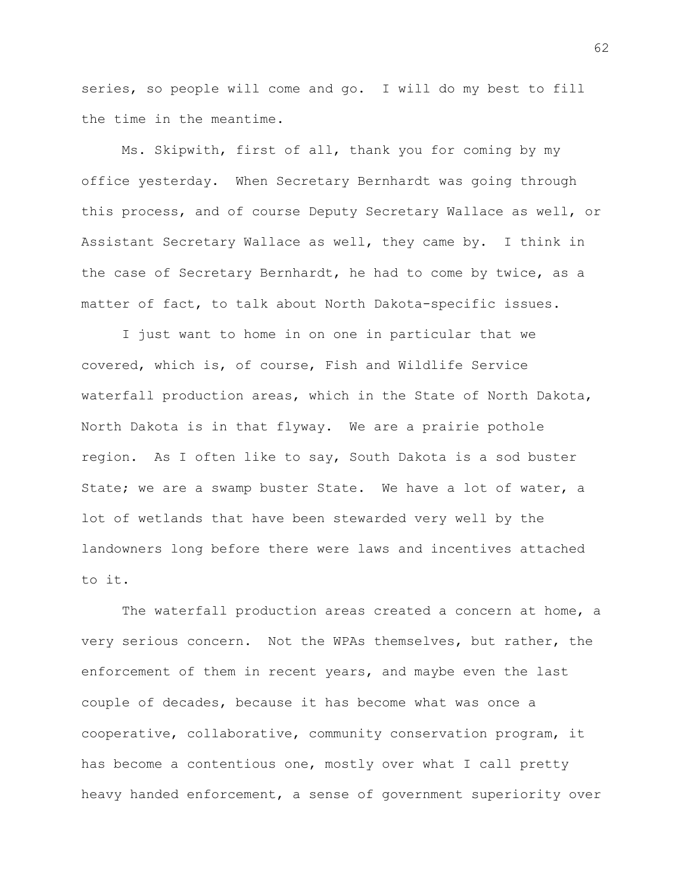series, so people will come and go. I will do my best to fill the time in the meantime.

Ms. Skipwith, first of all, thank you for coming by my office yesterday. When Secretary Bernhardt was going through this process, and of course Deputy Secretary Wallace as well, or Assistant Secretary Wallace as well, they came by. I think in the case of Secretary Bernhardt, he had to come by twice, as a matter of fact, to talk about North Dakota-specific issues.

I just want to home in on one in particular that we covered, which is, of course, Fish and Wildlife Service waterfall production areas, which in the State of North Dakota, North Dakota is in that flyway. We are a prairie pothole region. As I often like to say, South Dakota is a sod buster State; we are a swamp buster State. We have a lot of water, a lot of wetlands that have been stewarded very well by the landowners long before there were laws and incentives attached to it.

The waterfall production areas created a concern at home, a very serious concern. Not the WPAs themselves, but rather, the enforcement of them in recent years, and maybe even the last couple of decades, because it has become what was once a cooperative, collaborative, community conservation program, it has become a contentious one, mostly over what I call pretty heavy handed enforcement, a sense of government superiority over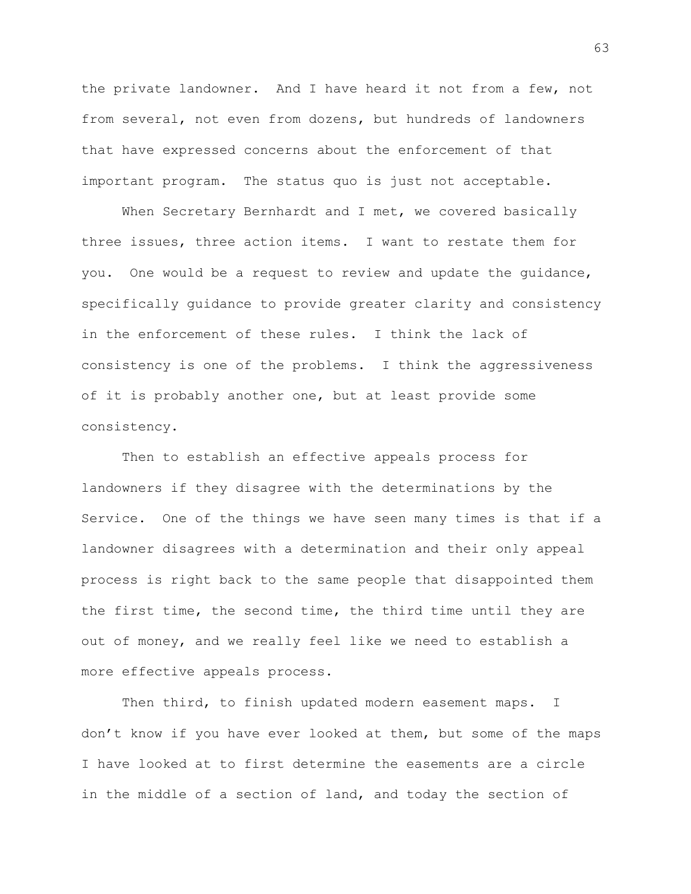the private landowner. And I have heard it not from a few, not from several, not even from dozens, but hundreds of landowners that have expressed concerns about the enforcement of that important program. The status quo is just not acceptable.

When Secretary Bernhardt and I met, we covered basically three issues, three action items. I want to restate them for you. One would be a request to review and update the guidance, specifically guidance to provide greater clarity and consistency in the enforcement of these rules. I think the lack of consistency is one of the problems. I think the aggressiveness of it is probably another one, but at least provide some consistency.

Then to establish an effective appeals process for landowners if they disagree with the determinations by the Service. One of the things we have seen many times is that if a landowner disagrees with a determination and their only appeal process is right back to the same people that disappointed them the first time, the second time, the third time until they are out of money, and we really feel like we need to establish a more effective appeals process.

Then third, to finish updated modern easement maps. I don't know if you have ever looked at them, but some of the maps I have looked at to first determine the easements are a circle in the middle of a section of land, and today the section of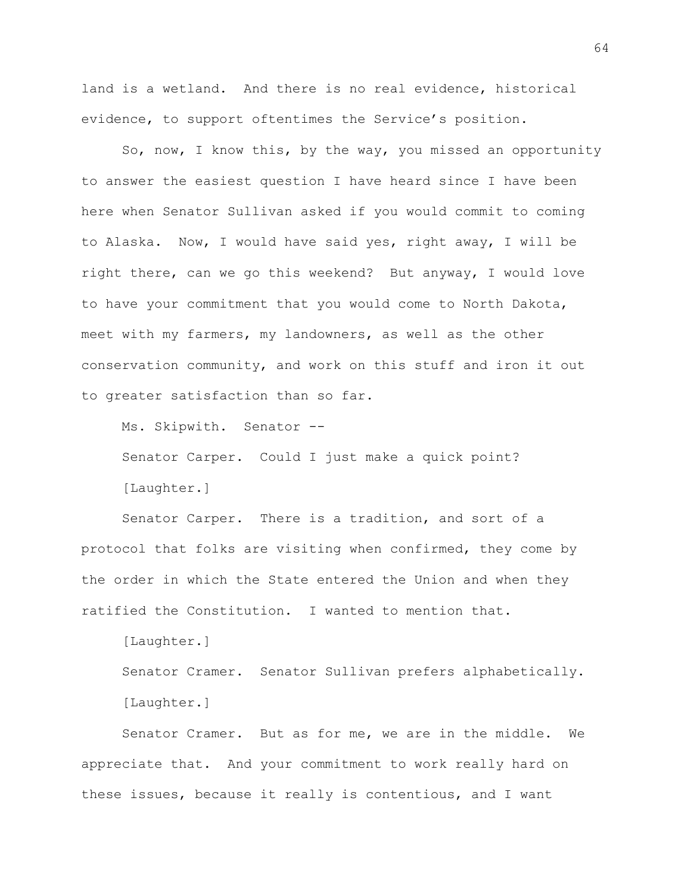land is a wetland. And there is no real evidence, historical evidence, to support oftentimes the Service's position.

So, now, I know this, by the way, you missed an opportunity to answer the easiest question I have heard since I have been here when Senator Sullivan asked if you would commit to coming to Alaska. Now, I would have said yes, right away, I will be right there, can we go this weekend? But anyway, I would love to have your commitment that you would come to North Dakota, meet with my farmers, my landowners, as well as the other conservation community, and work on this stuff and iron it out to greater satisfaction than so far.

Ms. Skipwith. Senator --

Senator Carper. Could I just make a quick point? [Laughter.]

Senator Carper. There is a tradition, and sort of a protocol that folks are visiting when confirmed, they come by the order in which the State entered the Union and when they ratified the Constitution. I wanted to mention that.

[Laughter.] Senator Cramer. Senator Sullivan prefers alphabetically. [Laughter.]

Senator Cramer. But as for me, we are in the middle. We appreciate that. And your commitment to work really hard on these issues, because it really is contentious, and I want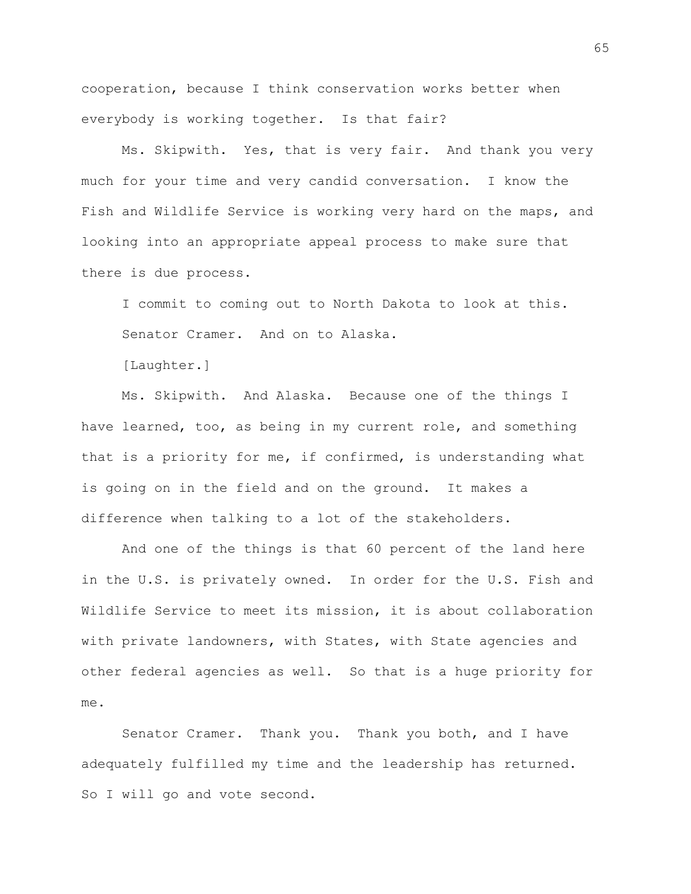cooperation, because I think conservation works better when everybody is working together. Is that fair?

Ms. Skipwith. Yes, that is very fair. And thank you very much for your time and very candid conversation. I know the Fish and Wildlife Service is working very hard on the maps, and looking into an appropriate appeal process to make sure that there is due process.

I commit to coming out to North Dakota to look at this. Senator Cramer. And on to Alaska.

[Laughter.]

Ms. Skipwith. And Alaska. Because one of the things I have learned, too, as being in my current role, and something that is a priority for me, if confirmed, is understanding what is going on in the field and on the ground. It makes a difference when talking to a lot of the stakeholders.

And one of the things is that 60 percent of the land here in the U.S. is privately owned. In order for the U.S. Fish and Wildlife Service to meet its mission, it is about collaboration with private landowners, with States, with State agencies and other federal agencies as well. So that is a huge priority for me.

Senator Cramer. Thank you. Thank you both, and I have adequately fulfilled my time and the leadership has returned. So I will go and vote second.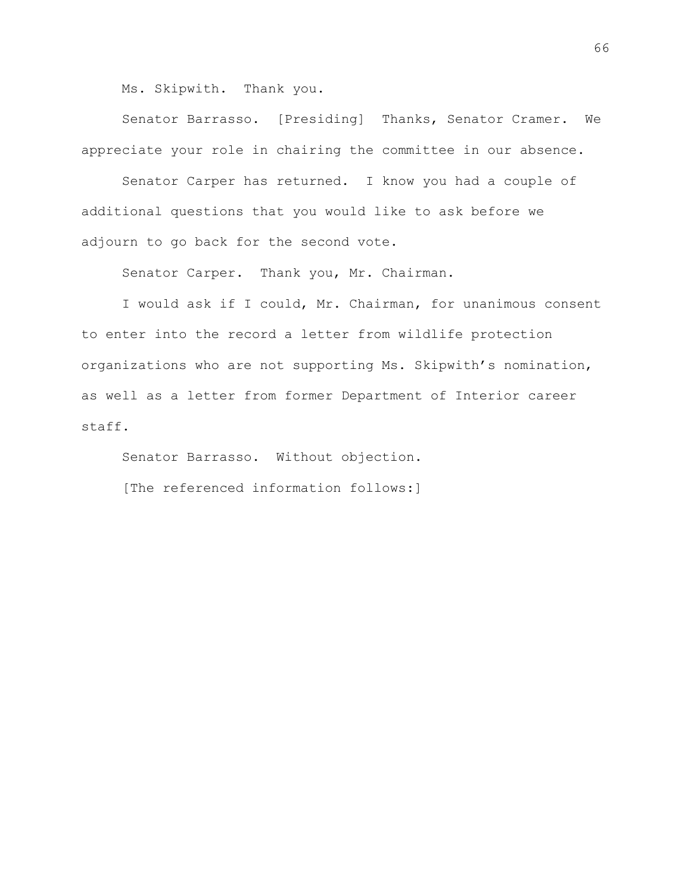Ms. Skipwith. Thank you.

Senator Barrasso. [Presiding] Thanks, Senator Cramer. We appreciate your role in chairing the committee in our absence.

Senator Carper has returned. I know you had a couple of additional questions that you would like to ask before we adjourn to go back for the second vote.

Senator Carper. Thank you, Mr. Chairman.

I would ask if I could, Mr. Chairman, for unanimous consent to enter into the record a letter from wildlife protection organizations who are not supporting Ms. Skipwith's nomination, as well as a letter from former Department of Interior career staff.

Senator Barrasso. Without objection. [The referenced information follows:]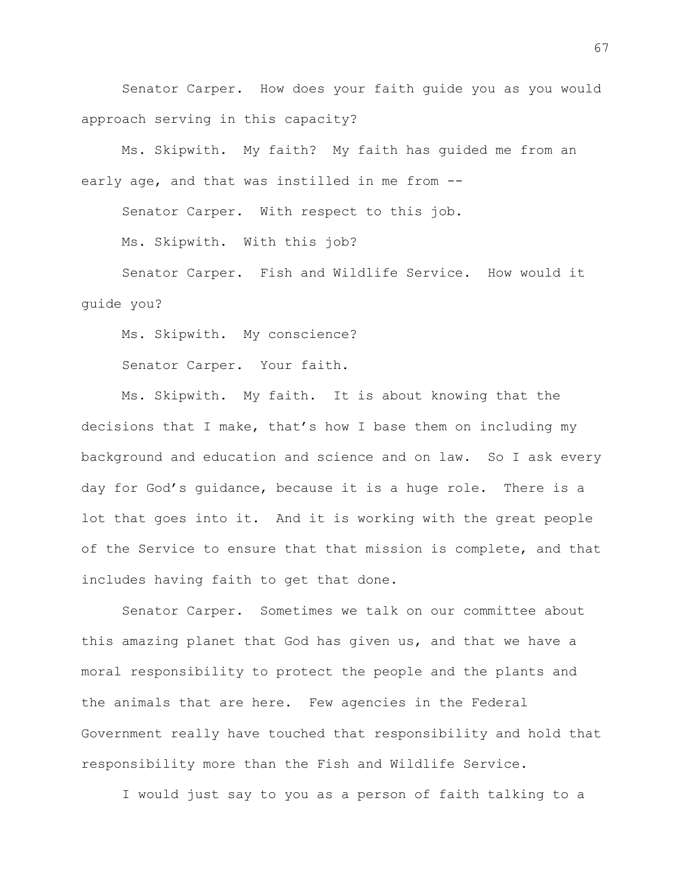Senator Carper. How does your faith guide you as you would approach serving in this capacity?

Ms. Skipwith. My faith? My faith has guided me from an early age, and that was instilled in me from --

Senator Carper. With respect to this job.

Ms. Skipwith. With this job?

Senator Carper. Fish and Wildlife Service. How would it guide you?

Ms. Skipwith. My conscience?

Senator Carper. Your faith.

Ms. Skipwith. My faith. It is about knowing that the decisions that I make, that's how I base them on including my background and education and science and on law. So I ask every day for God's guidance, because it is a huge role. There is a lot that goes into it. And it is working with the great people of the Service to ensure that that mission is complete, and that includes having faith to get that done.

Senator Carper. Sometimes we talk on our committee about this amazing planet that God has given us, and that we have a moral responsibility to protect the people and the plants and the animals that are here. Few agencies in the Federal Government really have touched that responsibility and hold that responsibility more than the Fish and Wildlife Service.

I would just say to you as a person of faith talking to a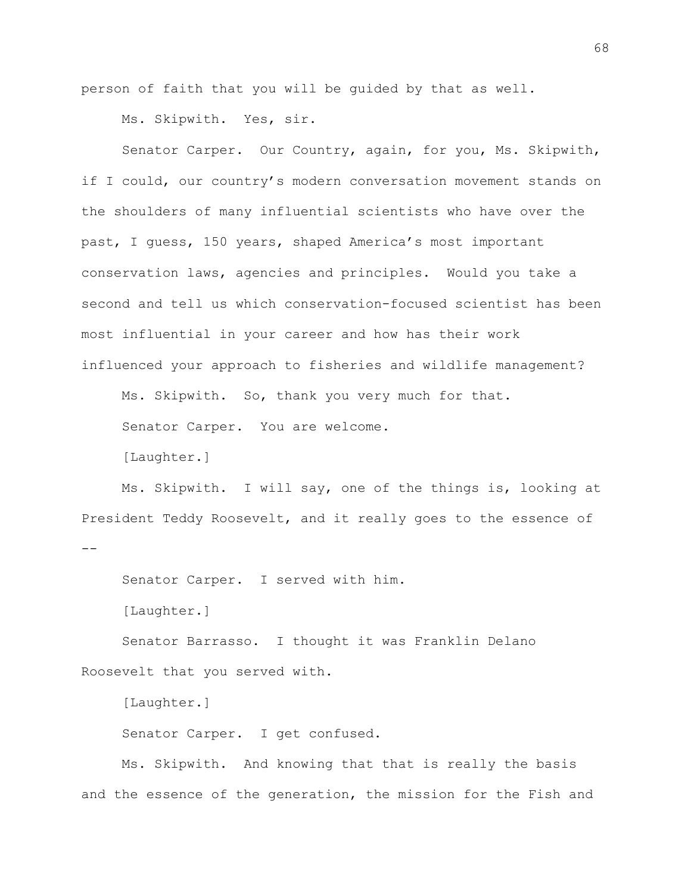person of faith that you will be guided by that as well.

Ms. Skipwith. Yes, sir.

Senator Carper. Our Country, again, for you, Ms. Skipwith, if I could, our country's modern conversation movement stands on the shoulders of many influential scientists who have over the past, I guess, 150 years, shaped America's most important conservation laws, agencies and principles. Would you take a second and tell us which conservation-focused scientist has been most influential in your career and how has their work influenced your approach to fisheries and wildlife management?

Ms. Skipwith. So, thank you very much for that.

Senator Carper. You are welcome.

[Laughter.]

Ms. Skipwith. I will say, one of the things is, looking at President Teddy Roosevelt, and it really goes to the essence of

Senator Carper. I served with him.

[Laughter.]

--

Senator Barrasso. I thought it was Franklin Delano Roosevelt that you served with.

[Laughter.]

Senator Carper. I get confused.

Ms. Skipwith. And knowing that that is really the basis and the essence of the generation, the mission for the Fish and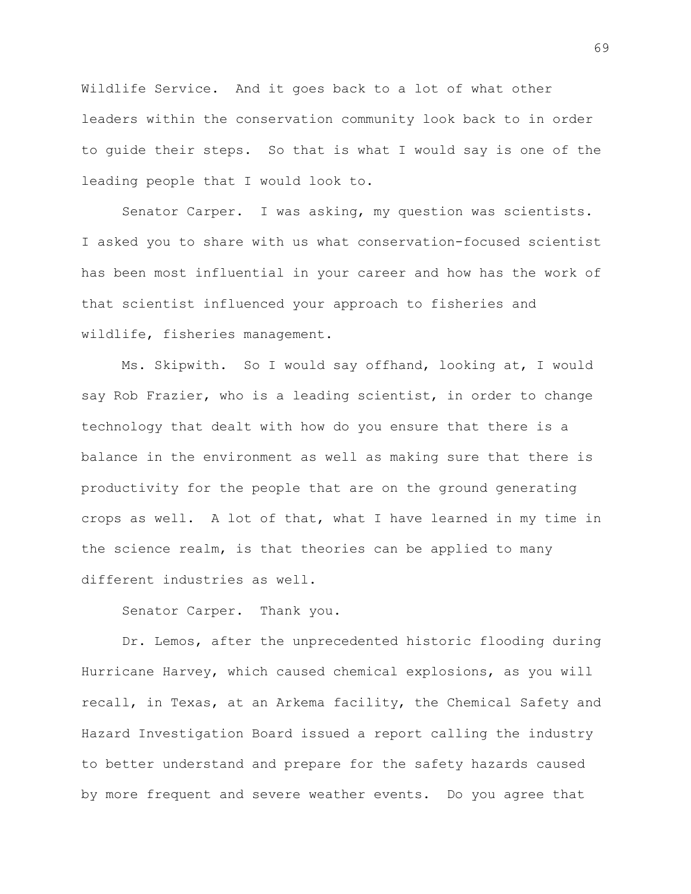Wildlife Service. And it goes back to a lot of what other leaders within the conservation community look back to in order to guide their steps. So that is what I would say is one of the leading people that I would look to.

Senator Carper. I was asking, my question was scientists. I asked you to share with us what conservation-focused scientist has been most influential in your career and how has the work of that scientist influenced your approach to fisheries and wildlife, fisheries management.

Ms. Skipwith. So I would say offhand, looking at, I would say Rob Frazier, who is a leading scientist, in order to change technology that dealt with how do you ensure that there is a balance in the environment as well as making sure that there is productivity for the people that are on the ground generating crops as well. A lot of that, what I have learned in my time in the science realm, is that theories can be applied to many different industries as well.

Senator Carper. Thank you.

Dr. Lemos, after the unprecedented historic flooding during Hurricane Harvey, which caused chemical explosions, as you will recall, in Texas, at an Arkema facility, the Chemical Safety and Hazard Investigation Board issued a report calling the industry to better understand and prepare for the safety hazards caused by more frequent and severe weather events. Do you agree that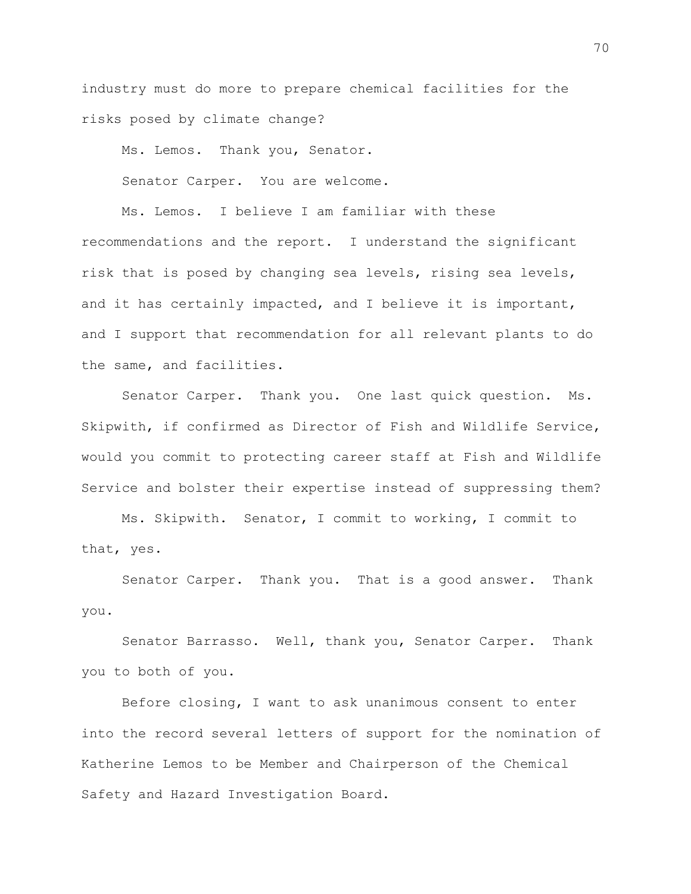industry must do more to prepare chemical facilities for the risks posed by climate change?

Ms. Lemos. Thank you, Senator.

Senator Carper. You are welcome.

Ms. Lemos. I believe I am familiar with these recommendations and the report. I understand the significant risk that is posed by changing sea levels, rising sea levels, and it has certainly impacted, and I believe it is important, and I support that recommendation for all relevant plants to do the same, and facilities.

Senator Carper. Thank you. One last quick question. Ms. Skipwith, if confirmed as Director of Fish and Wildlife Service, would you commit to protecting career staff at Fish and Wildlife Service and bolster their expertise instead of suppressing them?

Ms. Skipwith. Senator, I commit to working, I commit to that, yes.

Senator Carper. Thank you. That is a good answer. Thank you.

Senator Barrasso. Well, thank you, Senator Carper. Thank you to both of you.

Before closing, I want to ask unanimous consent to enter into the record several letters of support for the nomination of Katherine Lemos to be Member and Chairperson of the Chemical Safety and Hazard Investigation Board.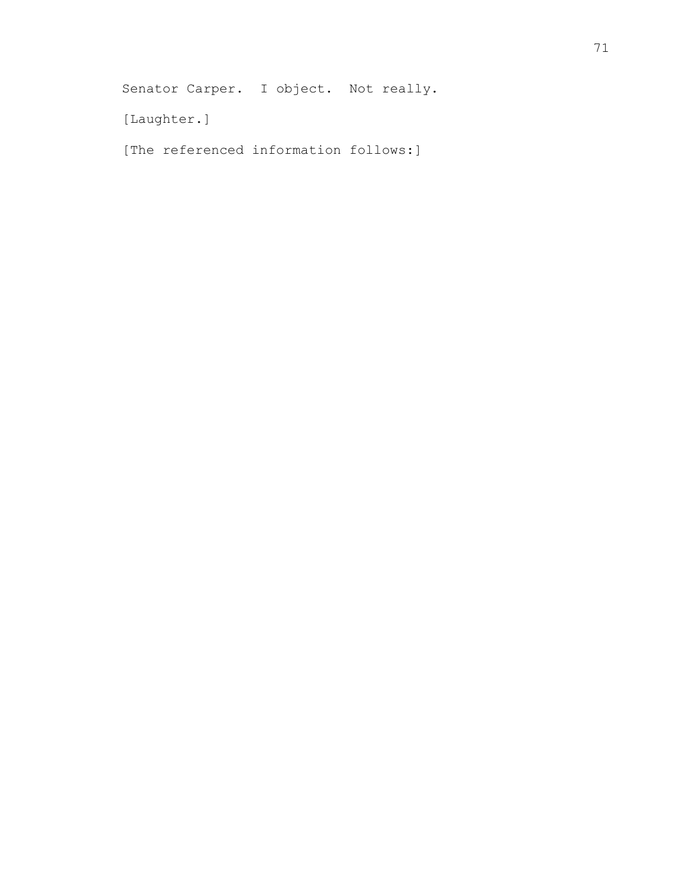Senator Carper. I object. Not really.

[Laughter.]

[The referenced information follows:]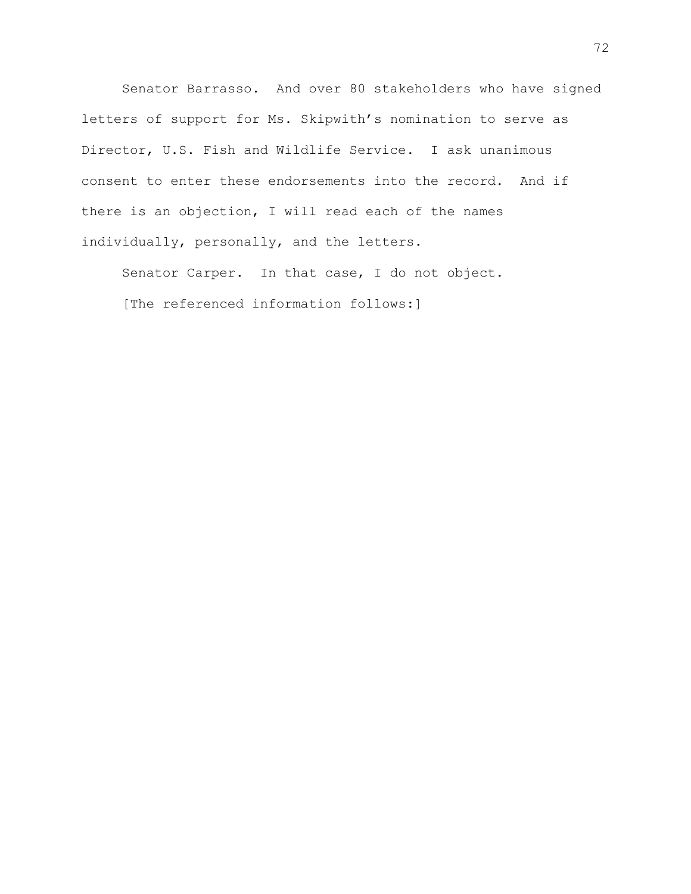Senator Barrasso. And over 80 stakeholders who have signed letters of support for Ms. Skipwith's nomination to serve as Director, U.S. Fish and Wildlife Service. I ask unanimous consent to enter these endorsements into the record. And if there is an objection, I will read each of the names individually, personally, and the letters.

Senator Carper. In that case, I do not object. [The referenced information follows:]